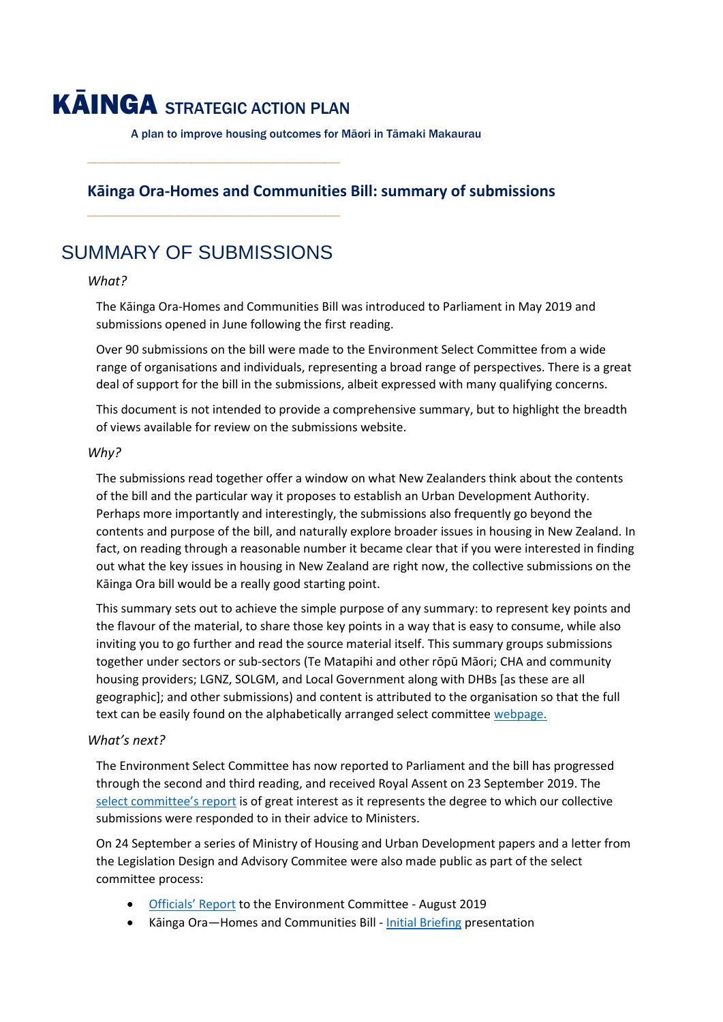# KĀINGA STRATEGIC ACTION PLAN

**\_\_\_\_\_\_\_\_\_\_\_\_\_\_\_\_\_\_\_\_\_\_\_\_\_\_\_\_\_\_\_\_\_\_**

**\_\_\_\_\_\_\_\_\_\_\_\_\_\_\_\_\_\_\_\_\_\_\_\_\_\_\_\_\_\_\_\_\_\_**

A plan to improve housing outcomes for Māori in Tāmaki Makaurau

# **Kāinga Ora-Homes and Communities Bill: summary of submissions**

SUMMARY OF SUBMISSIONS

#### *What?*

The Kāinga Ora-Homes and Communities Bill was introduced to Parliament in May 2019 and submissions opened in June following the first reading.

Over 90 submissions on the bill were made to the Environment Select Committee from a wide range of organisations and individuals, representing a broad range of perspectives. There is a great deal of support for the bill in the submissions, albeit expressed with many qualifying concerns.

This document is not intended to provide a comprehensive summary, but to highlight the breadth of views available for review on the submissions website.

#### *Why?*

The submissions read together offer a window on what New Zealanders think about the contents of the bill and the particular way it proposes to establish an Urban Development Authority. Perhaps more importantly and interestingly, the submissions also frequently go beyond the contents and purpose of the bill, and naturally explore broader issues in housing in New Zealand. In fact, on reading through a reasonable number it became clear that if you were interested in finding out what the key issues in housing in New Zealand are right now, the collective submissions on the Kāinga Ora bill would be a really good starting point.

This summary sets out to achieve the simple purpose of any summary: to represent key points and the flavour of the material, to share those key points in a way that is easy to consume, while also inviting you to go further and read the source material itself. This summary groups submissions together under sectors or sub-sectors (Te Matapihi and other rōpū Māori; CHA and community housing providers; LGNZ, SOLGM, and Local Government along with DHBs [as these are all geographic]; and other submissions) and content is attributed to the organisation so that the full text can be easily found on the alphabetically arranged select committe[e webpage.](https://www.parliament.nz/en/pb/bills-and-laws/bills-proposed-laws/document/BILL_88098/tab/submissionsandadvice) 

#### *What's next?*

The Environment Select Committee has now reported to Parliament and the bill has progressed through the second and third reading, and received Royal Assent on 23 September 2019. The [select commit](https://www.parliament.nz/resource/en-NZ/SCR_91163/00a7e7c0c805b964b83eb634265cb99ae051ff6d)tee's report is of great interest as it represents the degree to which our collective submissions were responded to in their advice to Ministers.

On 24 September a series of Ministry of Housing and Urban Development papers and a letter from the Legislation Design and Advisory Commitee were also made public as part of the select committee process:

- [Officials' Report](https://www.parliament.nz/resource/en-NZ/52SCEN_ADV_88098_EN19150/c6437fd409193bbee1612d565dca340b138ce74b) to the Environment Committee August 2019
- Kāinga Ora—Homes and Communities Bill [Initial Briefing](https://www.parliament.nz/resource/en-NZ/52SCEN_ADV_88098_EN6940/7e126d473f0d7ed0e60ba66530b36ae280b8ca4b) presentation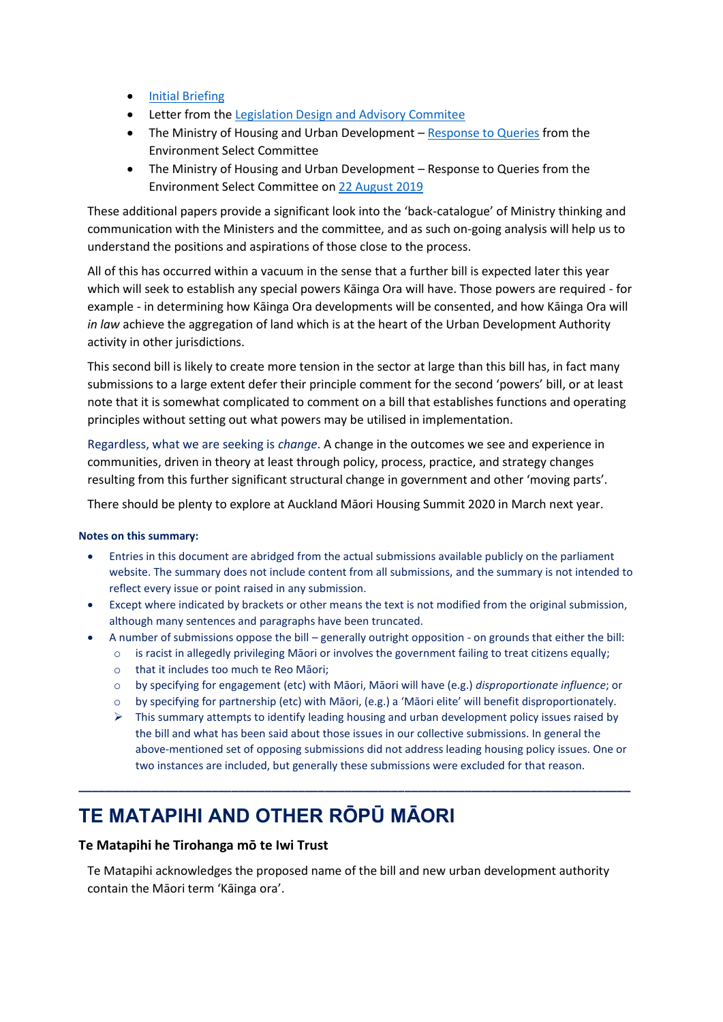- [Initial Briefing](https://www.parliament.nz/resource/en-NZ/52SCEN_ADV_88098_EN6884/72a639db97e395564df203900a67d892aa770d1d)
- Letter from th[e Legislation Design and Advisory Commitee](https://www.parliament.nz/resource/en-NZ/52SCEN_ADV_88098_EN17411/7b87770ace7d875f990e70ed3b7a42c61e1af105)
- The Ministry of Housing and Urban Development [Response to Queries](https://www.parliament.nz/resource/en-NZ/52SCEN_ADV_88098_EN17410/755390da55eede226b3b537a6ba5cd5ee3699942) from the Environment Select Committee
- The Ministry of Housing and Urban Development Response to Queries from the Environment Select Committee on [22 August 2019](https://www.parliament.nz/resource/en-NZ/52SCEN_ADV_88098_EN18655/e073bdc7b7222a7492481672c075eb925b3996b2)

These additional papers provide a significant look into the 'back-catalogue' of Ministry thinking and communication with the Ministers and the committee, and as such on-going analysis will help us to understand the positions and aspirations of those close to the process.

All of this has occurred within a vacuum in the sense that a further bill is expected later this year which will seek to establish any special powers Kāinga Ora will have. Those powers are required - for example - in determining how Kāinga Ora developments will be consented, and how Kāinga Ora will *in law* achieve the aggregation of land which is at the heart of the Urban Development Authority activity in other jurisdictions.

This second bill is likely to create more tension in the sector at large than this bill has, in fact many submissions to a large extent defer their principle comment for the second 'powers' bill, or at least note that it is somewhat complicated to comment on a bill that establishes functions and operating principles without setting out what powers may be utilised in implementation.

Regardless, what we are seeking is *change*. A change in the outcomes we see and experience in communities, driven in theory at least through policy, process, practice, and strategy changes resulting from this further significant structural change in government and other 'moving parts'.

There should be plenty to explore at Auckland Māori Housing Summit 2020 in March next year.

#### **Notes on this summary:**

- Entries in this document are abridged from the actual submissions available publicly on the parliament website. The summary does not include content from all submissions, and the summary is not intended to reflect every issue or point raised in any submission.
- Except where indicated by brackets or other means the text is not modified from the original submission, although many sentences and paragraphs have been truncated.
- A number of submissions oppose the bill generally outright opposition on grounds that either the bill:
	- $\circ$  is racist in allegedly privileging Māori or involves the government failing to treat citizens equally;
	- o that it includes too much te Reo Māori;
	- o by specifying for engagement (etc) with Māori, Māori will have (e.g.) *disproportionate influence*; or
	- o by specifying for partnership (etc) with Māori, (e.g.) a 'Māori elite' will benefit disproportionately.
	- $\triangleright$  This summary attempts to identify leading housing and urban development policy issues raised by the bill and what has been said about those issues in our collective submissions. In general the above-mentioned set of opposing submissions did not address leading housing policy issues. One or two instances are included, but generally these submissions were excluded for that reason.

# **TE MATAPIHI AND OTHER RŌPŪ MĀORI**

#### **Te Matapihi he Tirohanga mō te Iwi Trust**

Te Matapihi acknowledges the proposed name of the bill and new urban development authority contain the Māori term 'Kāinga ora'.

**\_\_\_\_\_\_\_\_\_\_\_\_\_\_\_\_\_\_\_\_\_\_\_\_\_\_\_\_\_\_\_\_\_\_\_\_\_\_\_\_\_\_\_\_\_\_\_\_\_\_\_\_\_\_\_\_\_\_\_\_\_\_\_\_\_\_\_\_\_\_\_\_\_\_\_\_\_\_\_\_\_\_\_**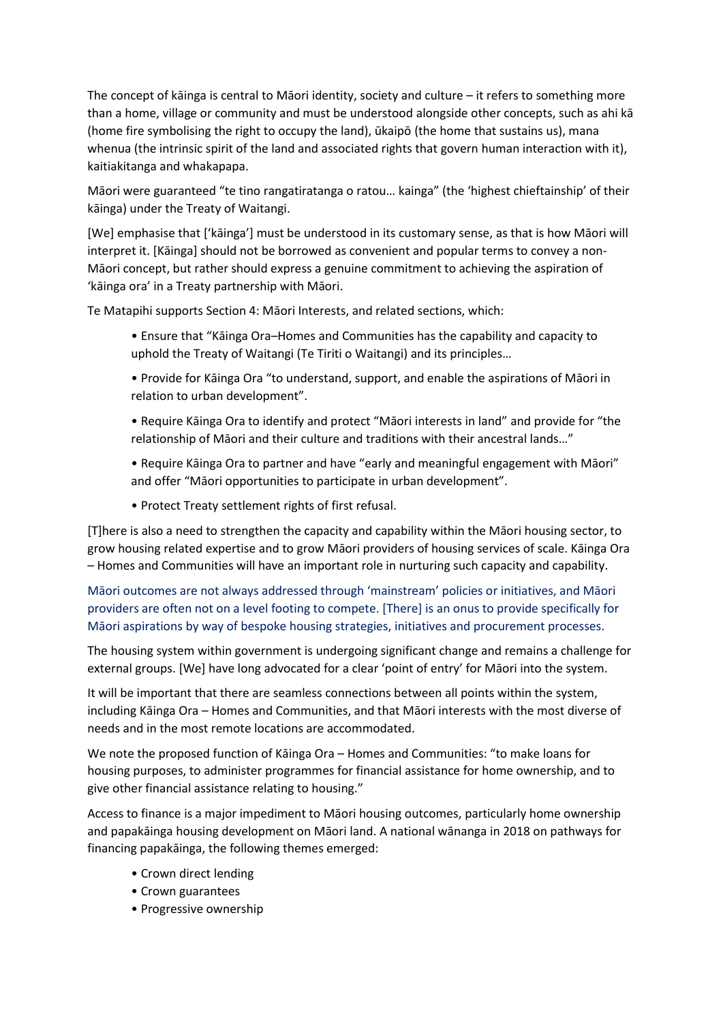The concept of kāinga is central to Māori identity, society and culture – it refers to something more than a home, village or community and must be understood alongside other concepts, such as ahi kā (home fire symbolising the right to occupy the land), ūkaipō (the home that sustains us), mana whenua (the intrinsic spirit of the land and associated rights that govern human interaction with it), kaitiakitanga and whakapapa.

Māori were guaranteed "te tino rangatiratanga o ratou… kainga" (the 'highest chieftainship' of their kāinga) under the Treaty of Waitangi.

[We] emphasise that ['kāinga'] must be understood in its customary sense, as that is how Māori will interpret it. [Kāinga] should not be borrowed as convenient and popular terms to convey a non-Māori concept, but rather should express a genuine commitment to achieving the aspiration of 'kāinga ora' in a Treaty partnership with Māori.

Te Matapihi supports Section 4: Māori Interests, and related sections, which:

- Ensure that "Kāinga Ora–Homes and Communities has the capability and capacity to uphold the Treaty of Waitangi (Te Tiriti o Waitangi) and its principles…
- Provide for Kāinga Ora "to understand, support, and enable the aspirations of Māori in relation to urban development".
- Require Kāinga Ora to identify and protect "Māori interests in land" and provide for "the relationship of Māori and their culture and traditions with their ancestral lands…"
- Require Kāinga Ora to partner and have "early and meaningful engagement with Māori" and offer "Māori opportunities to participate in urban development".
- Protect Treaty settlement rights of first refusal.

[T]here is also a need to strengthen the capacity and capability within the Māori housing sector, to grow housing related expertise and to grow Māori providers of housing services of scale. Kāinga Ora – Homes and Communities will have an important role in nurturing such capacity and capability.

Māori outcomes are not always addressed through 'mainstream' policies or initiatives, and Māori providers are often not on a level footing to compete. [There] is an onus to provide specifically for Māori aspirations by way of bespoke housing strategies, initiatives and procurement processes.

The housing system within government is undergoing significant change and remains a challenge for external groups. [We] have long advocated for a clear 'point of entry' for Māori into the system.

It will be important that there are seamless connections between all points within the system, including Kāinga Ora – Homes and Communities, and that Māori interests with the most diverse of needs and in the most remote locations are accommodated.

We note the proposed function of Kāinga Ora – Homes and Communities: "to make loans for housing purposes, to administer programmes for financial assistance for home ownership, and to give other financial assistance relating to housing."

Access to finance is a major impediment to Māori housing outcomes, particularly home ownership and papakāinga housing development on Māori land. A national wānanga in 2018 on pathways for financing papakāinga, the following themes emerged:

- Crown direct lending
- Crown guarantees
- Progressive ownership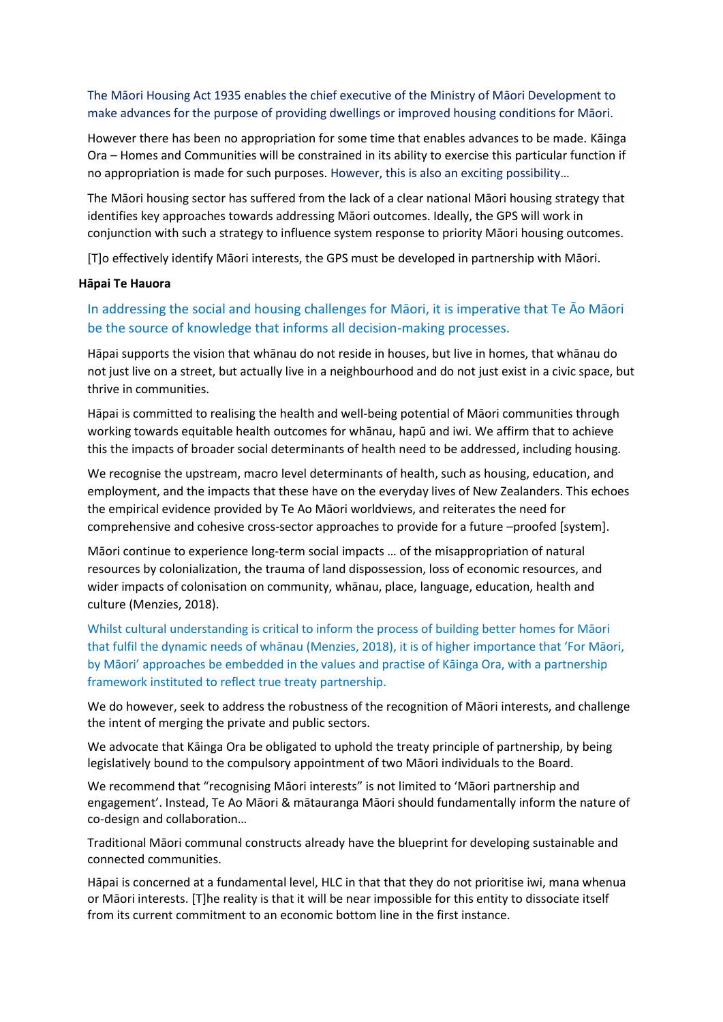The Māori Housing Act 1935 enables the chief executive of the Ministry of Māori Development to make advances for the purpose of providing dwellings or improved housing conditions for Māori.

However there has been no appropriation for some time that enables advances to be made. Kāinga Ora – Homes and Communities will be constrained in its ability to exercise this particular function if no appropriation is made for such purposes. However, this is also an exciting possibility…

The Māori housing sector has suffered from the lack of a clear national Māori housing strategy that identifies key approaches towards addressing Māori outcomes. Ideally, the GPS will work in conjunction with such a strategy to influence system response to priority Māori housing outcomes.

[T]o effectively identify Māori interests, the GPS must be developed in partnership with Māori.

#### **Hāpai Te Hauora**

# In addressing the social and housing challenges for Māori, it is imperative that Te Āo Māori be the source of knowledge that informs all decision-making processes.

Hāpai supports the vision that whānau do not reside in houses, but live in homes, that whānau do not just live on a street, but actually live in a neighbourhood and do not just exist in a civic space, but thrive in communities.

Hāpai is committed to realising the health and well-being potential of Māori communities through working towards equitable health outcomes for whānau, hapū and iwi. We affirm that to achieve this the impacts of broader social determinants of health need to be addressed, including housing.

We recognise the upstream, macro level determinants of health, such as housing, education, and employment, and the impacts that these have on the everyday lives of New Zealanders. This echoes the empirical evidence provided by Te Ao Māori worldviews, and reiterates the need for comprehensive and cohesive cross-sector approaches to provide for a future –proofed [system].

Māori continue to experience long-term social impacts … of the misappropriation of natural resources by colonialization, the trauma of land dispossession, loss of economic resources, and wider impacts of colonisation on community, whānau, place, language, education, health and culture (Menzies, 2018).

Whilst cultural understanding is critical to inform the process of building better homes for Māori that fulfil the dynamic needs of whānau (Menzies, 2018), it is of higher importance that 'For Māori, by Māori' approaches be embedded in the values and practise of Kāinga Ora, with a partnership framework instituted to reflect true treaty partnership.

We do however, seek to address the robustness of the recognition of Māori interests, and challenge the intent of merging the private and public sectors.

We advocate that Kāinga Ora be obligated to uphold the treaty principle of partnership, by being legislatively bound to the compulsory appointment of two Māori individuals to the Board.

We recommend that "recognising Māori interests" is not limited to 'Māori partnership and engagement'. Instead, Te Ao Māori & mātauranga Māori should fundamentally inform the nature of co-design and collaboration…

Traditional Māori communal constructs already have the blueprint for developing sustainable and connected communities.

Hāpai is concerned at a fundamental level, HLC in that that they do not prioritise iwi, mana whenua or Māori interests. [T]he reality is that it will be near impossible for this entity to dissociate itself from its current commitment to an economic bottom line in the first instance.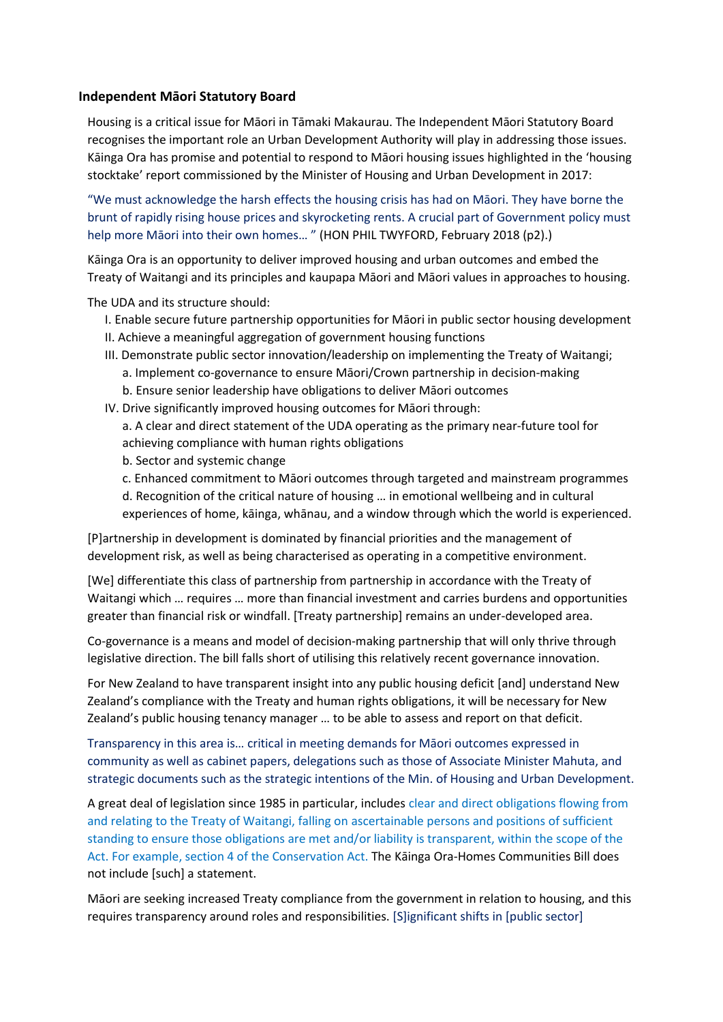#### **Independent Māori Statutory Board**

Housing is a critical issue for Māori in Tāmaki Makaurau. The Independent Māori Statutory Board recognises the important role an Urban Development Authority will play in addressing those issues. Kāinga Ora has promise and potential to respond to Māori housing issues highlighted in the 'housing stocktake' report commissioned by the Minister of Housing and Urban Development in 2017:

"We must acknowledge the harsh effects the housing crisis has had on Māori. They have borne the brunt of rapidly rising house prices and skyrocketing rents. A crucial part of Government policy must help more Māori into their own homes… " (HON PHIL TWYFORD, February 2018 (p2).)

Kāinga Ora is an opportunity to deliver improved housing and urban outcomes and embed the Treaty of Waitangi and its principles and kaupapa Māori and Māori values in approaches to housing.

The UDA and its structure should:

- I. Enable secure future partnership opportunities for Māori in public sector housing development
- II. Achieve a meaningful aggregation of government housing functions
- III. Demonstrate public sector innovation/leadership on implementing the Treaty of Waitangi; a. Implement co-governance to ensure Māori/Crown partnership in decision-making
	- b. Ensure senior leadership have obligations to deliver Māori outcomes
- IV. Drive significantly improved housing outcomes for Māori through:
	- a. A clear and direct statement of the UDA operating as the primary near-future tool for achieving compliance with human rights obligations
	- b. Sector and systemic change
	- c. Enhanced commitment to Māori outcomes through targeted and mainstream programmes
	- d. Recognition of the critical nature of housing … in emotional wellbeing and in cultural experiences of home, kāinga, whānau, and a window through which the world is experienced.

[P]artnership in development is dominated by financial priorities and the management of development risk, as well as being characterised as operating in a competitive environment.

[We] differentiate this class of partnership from partnership in accordance with the Treaty of Waitangi which … requires … more than financial investment and carries burdens and opportunities greater than financial risk or windfall. [Treaty partnership] remains an under-developed area.

Co-governance is a means and model of decision-making partnership that will only thrive through legislative direction. The bill falls short of utilising this relatively recent governance innovation.

For New Zealand to have transparent insight into any public housing deficit [and] understand New Zealand's compliance with the Treaty and human rights obligations, it will be necessary for New Zealand's public housing tenancy manager … to be able to assess and report on that deficit.

Transparency in this area is… critical in meeting demands for Māori outcomes expressed in community as well as cabinet papers, delegations such as those of Associate Minister Mahuta, and strategic documents such as the strategic intentions of the Min. of Housing and Urban Development.

A great deal of legislation since 1985 in particular, includes clear and direct obligations flowing from and relating to the Treaty of Waitangi, falling on ascertainable persons and positions of sufficient standing to ensure those obligations are met and/or liability is transparent, within the scope of the Act. For example, section 4 of the Conservation Act. The Kāinga Ora-Homes Communities Bill does not include [such] a statement.

Māori are seeking increased Treaty compliance from the government in relation to housing, and this requires transparency around roles and responsibilities. [S]ignificant shifts in [public sector]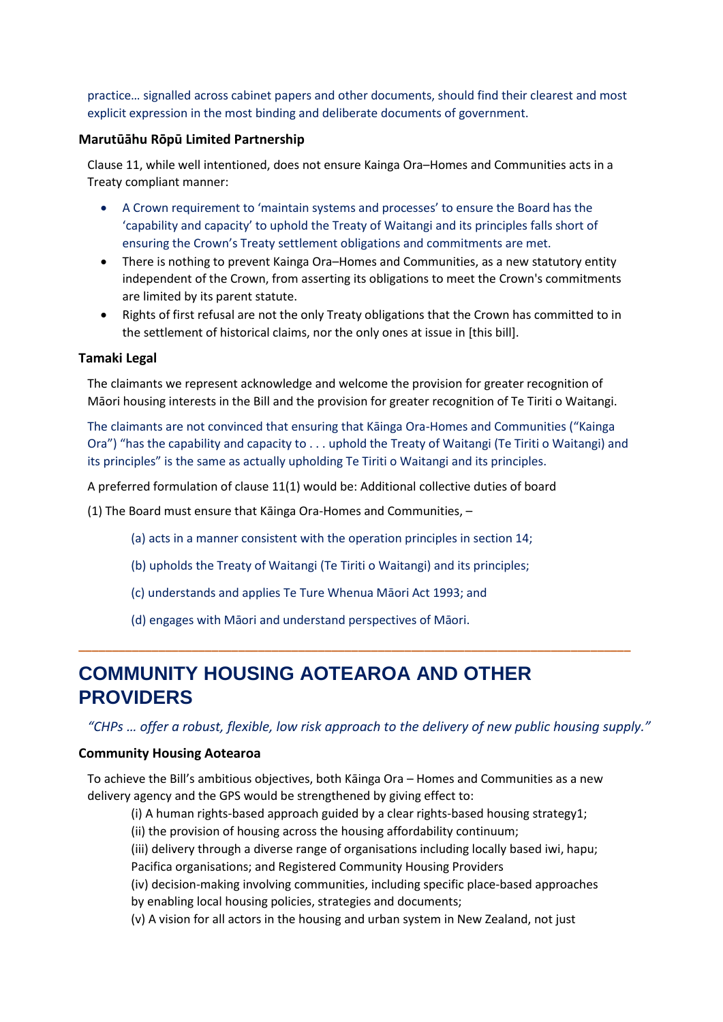practice… signalled across cabinet papers and other documents, should find their clearest and most explicit expression in the most binding and deliberate documents of government.

#### **Marutūāhu Rōpū Limited Partnership**

Clause 11, while well intentioned, does not ensure Kainga Ora–Homes and Communities acts in a Treaty compliant manner:

- A Crown requirement to 'maintain systems and processes' to ensure the Board has the 'capability and capacity' to uphold the Treaty of Waitangi and its principles falls short of ensuring the Crown's Treaty settlement obligations and commitments are met.
- There is nothing to prevent Kainga Ora–Homes and Communities, as a new statutory entity independent of the Crown, from asserting its obligations to meet the Crown's commitments are limited by its parent statute.
- Rights of first refusal are not the only Treaty obligations that the Crown has committed to in the settlement of historical claims, nor the only ones at issue in [this bill].

#### **Tamaki Legal**

The claimants we represent acknowledge and welcome the provision for greater recognition of Māori housing interests in the Bill and the provision for greater recognition of Te Tiriti o Waitangi.

The claimants are not convinced that ensuring that Kāinga Ora-Homes and Communities ("Kainga Ora") "has the capability and capacity to . . . uphold the Treaty of Waitangi (Te Tiriti o Waitangi) and its principles" is the same as actually upholding Te Tiriti o Waitangi and its principles.

A preferred formulation of clause 11(1) would be: Additional collective duties of board

- (1) The Board must ensure that Kāinga Ora-Homes and Communities,
	- (a) acts in a manner consistent with the operation principles in section 14;
	- (b) upholds the Treaty of Waitangi (Te Tiriti o Waitangi) and its principles;
	- (c) understands and applies Te Ture Whenua Māori Act 1993; and
	- (d) engages with Māori and understand perspectives of Māori.

# **COMMUNITY HOUSING AOTEAROA AND OTHER PROVIDERS**

*"CHPs … offer a robust, flexible, low risk approach to the delivery of new public housing supply."*

**\_\_\_\_\_\_\_\_\_\_\_\_\_\_\_\_\_\_\_\_\_\_\_\_\_\_\_\_\_\_\_\_\_\_\_\_\_\_\_\_\_\_\_\_\_\_\_\_\_\_\_\_\_\_\_\_\_\_\_\_\_\_\_\_\_\_\_\_\_\_\_\_\_\_\_\_\_\_\_\_\_\_\_**

#### **Community Housing Aotearoa**

To achieve the Bill's ambitious objectives, both Kāinga Ora – Homes and Communities as a new delivery agency and the GPS would be strengthened by giving effect to:

(i) A human rights-based approach guided by a clear rights-based housing strategy1;

(ii) the provision of housing across the housing affordability continuum;

(iii) delivery through a diverse range of organisations including locally based iwi, hapu; Pacifica organisations; and Registered Community Housing Providers

(iv) decision-making involving communities, including specific place-based approaches by enabling local housing policies, strategies and documents;

(v) A vision for all actors in the housing and urban system in New Zealand, not just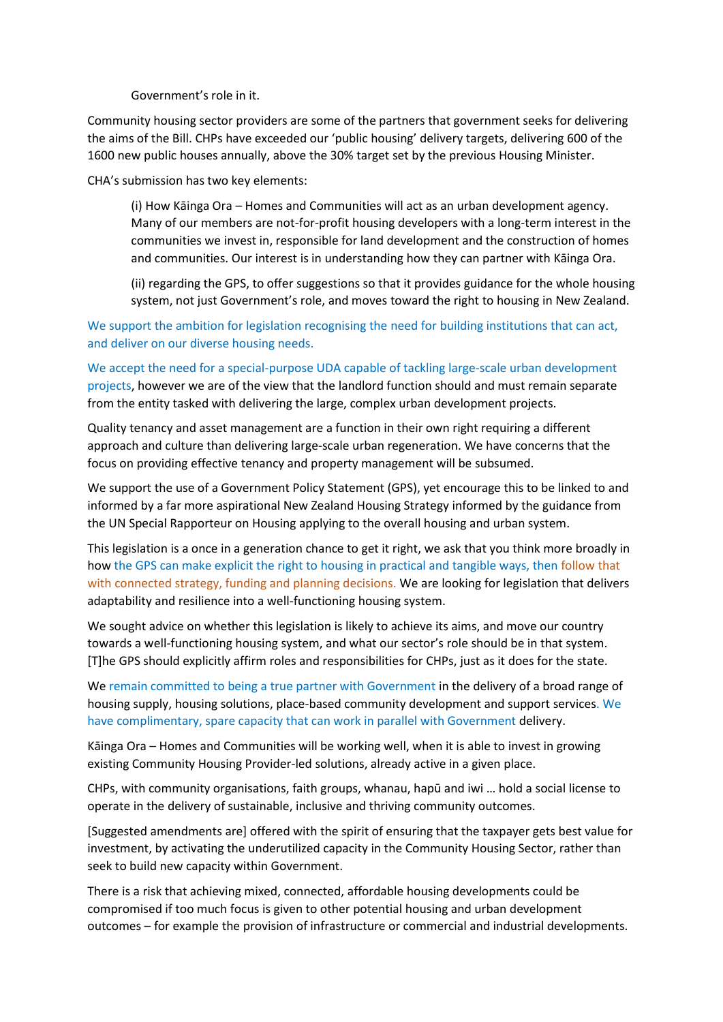Government's role in it.

Community housing sector providers are some of the partners that government seeks for delivering the aims of the Bill. CHPs have exceeded our 'public housing' delivery targets, delivering 600 of the 1600 new public houses annually, above the 30% target set by the previous Housing Minister.

CHA's submission has two key elements:

(i) How Kāinga Ora – Homes and Communities will act as an urban development agency. Many of our members are not-for-profit housing developers with a long-term interest in the communities we invest in, responsible for land development and the construction of homes and communities. Our interest is in understanding how they can partner with Kāinga Ora.

(ii) regarding the GPS, to offer suggestions so that it provides guidance for the whole housing system, not just Government's role, and moves toward the right to housing in New Zealand.

We support the ambition for legislation recognising the need for building institutions that can act, and deliver on our diverse housing needs.

We accept the need for a special-purpose UDA capable of tackling large-scale urban development projects, however we are of the view that the landlord function should and must remain separate from the entity tasked with delivering the large, complex urban development projects.

Quality tenancy and asset management are a function in their own right requiring a different approach and culture than delivering large-scale urban regeneration. We have concerns that the focus on providing effective tenancy and property management will be subsumed.

We support the use of a Government Policy Statement (GPS), yet encourage this to be linked to and informed by a far more aspirational New Zealand Housing Strategy informed by the guidance from the UN Special Rapporteur on Housing applying to the overall housing and urban system.

This legislation is a once in a generation chance to get it right, we ask that you think more broadly in how the GPS can make explicit the right to housing in practical and tangible ways, then follow that with connected strategy, funding and planning decisions. We are looking for legislation that delivers adaptability and resilience into a well-functioning housing system.

We sought advice on whether this legislation is likely to achieve its aims, and move our country towards a well-functioning housing system, and what our sector's role should be in that system. [T]he GPS should explicitly affirm roles and responsibilities for CHPs, just as it does for the state.

We remain committed to being a true partner with Government in the delivery of a broad range of housing supply, housing solutions, place-based community development and support services. We have complimentary, spare capacity that can work in parallel with Government delivery.

Kāinga Ora – Homes and Communities will be working well, when it is able to invest in growing existing Community Housing Provider-led solutions, already active in a given place.

CHPs, with community organisations, faith groups, whanau, hapū and iwi … hold a social license to operate in the delivery of sustainable, inclusive and thriving community outcomes.

[Suggested amendments are] offered with the spirit of ensuring that the taxpayer gets best value for investment, by activating the underutilized capacity in the Community Housing Sector, rather than seek to build new capacity within Government.

There is a risk that achieving mixed, connected, affordable housing developments could be compromised if too much focus is given to other potential housing and urban development outcomes – for example the provision of infrastructure or commercial and industrial developments.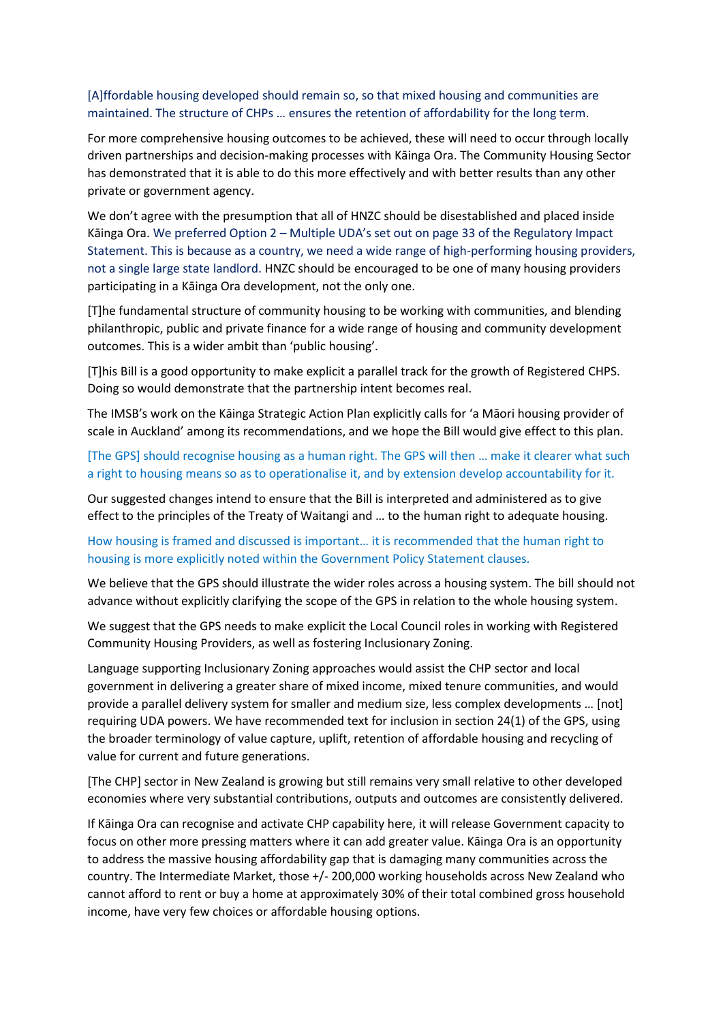#### [A]ffordable housing developed should remain so, so that mixed housing and communities are maintained. The structure of CHPs … ensures the retention of affordability for the long term.

For more comprehensive housing outcomes to be achieved, these will need to occur through locally driven partnerships and decision-making processes with Kāinga Ora. The Community Housing Sector has demonstrated that it is able to do this more effectively and with better results than any other private or government agency.

We don't agree with the presumption that all of HNZC should be disestablished and placed inside Kāinga Ora. We preferred Option 2 – Multiple UDA's set out on page 33 of the Regulatory Impact Statement. This is because as a country, we need a wide range of high-performing housing providers, not a single large state landlord. HNZC should be encouraged to be one of many housing providers participating in a Kāinga Ora development, not the only one.

[T]he fundamental structure of community housing to be working with communities, and blending philanthropic, public and private finance for a wide range of housing and community development outcomes. This is a wider ambit than 'public housing'.

[T]his Bill is a good opportunity to make explicit a parallel track for the growth of Registered CHPS. Doing so would demonstrate that the partnership intent becomes real.

The IMSB's work on the Kāinga Strategic Action Plan explicitly calls for 'a Māori housing provider of scale in Auckland' among its recommendations, and we hope the Bill would give effect to this plan.

[The GPS] should recognise housing as a human right. The GPS will then … make it clearer what such a right to housing means so as to operationalise it, and by extension develop accountability for it.

Our suggested changes intend to ensure that the Bill is interpreted and administered as to give effect to the principles of the Treaty of Waitangi and … to the human right to adequate housing.

#### How housing is framed and discussed is important… it is recommended that the human right to housing is more explicitly noted within the Government Policy Statement clauses.

We believe that the GPS should illustrate the wider roles across a housing system. The bill should not advance without explicitly clarifying the scope of the GPS in relation to the whole housing system.

We suggest that the GPS needs to make explicit the Local Council roles in working with Registered Community Housing Providers, as well as fostering Inclusionary Zoning.

Language supporting Inclusionary Zoning approaches would assist the CHP sector and local government in delivering a greater share of mixed income, mixed tenure communities, and would provide a parallel delivery system for smaller and medium size, less complex developments … [not] requiring UDA powers. We have recommended text for inclusion in section 24(1) of the GPS, using the broader terminology of value capture, uplift, retention of affordable housing and recycling of value for current and future generations.

[The CHP] sector in New Zealand is growing but still remains very small relative to other developed economies where very substantial contributions, outputs and outcomes are consistently delivered.

If Kāinga Ora can recognise and activate CHP capability here, it will release Government capacity to focus on other more pressing matters where it can add greater value. Kāinga Ora is an opportunity to address the massive housing affordability gap that is damaging many communities across the country. The Intermediate Market, those +/- 200,000 working households across New Zealand who cannot afford to rent or buy a home at approximately 30% of their total combined gross household income, have very few choices or affordable housing options.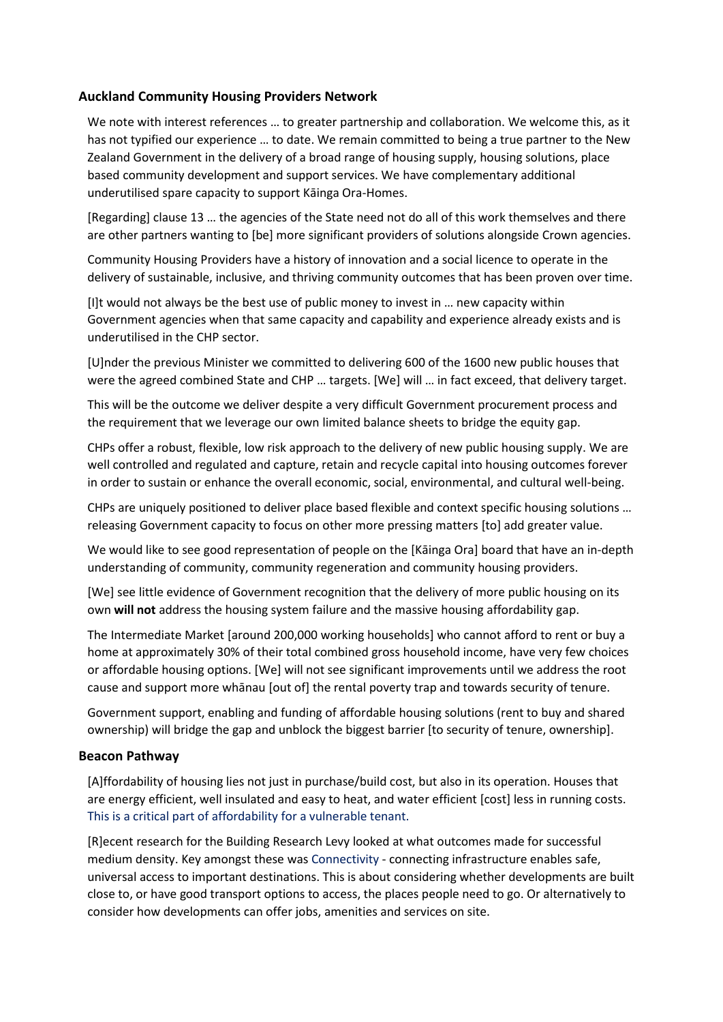#### **Auckland Community Housing Providers Network**

We note with interest references … to greater partnership and collaboration. We welcome this, as it has not typified our experience … to date. We remain committed to being a true partner to the New Zealand Government in the delivery of a broad range of housing supply, housing solutions, place based community development and support services. We have complementary additional underutilised spare capacity to support Kāinga Ora-Homes.

[Regarding] clause 13 … the agencies of the State need not do all of this work themselves and there are other partners wanting to [be] more significant providers of solutions alongside Crown agencies.

Community Housing Providers have a history of innovation and a social licence to operate in the delivery of sustainable, inclusive, and thriving community outcomes that has been proven over time.

[I]t would not always be the best use of public money to invest in … new capacity within Government agencies when that same capacity and capability and experience already exists and is underutilised in the CHP sector.

[U]nder the previous Minister we committed to delivering 600 of the 1600 new public houses that were the agreed combined State and CHP … targets. [We] will … in fact exceed, that delivery target.

This will be the outcome we deliver despite a very difficult Government procurement process and the requirement that we leverage our own limited balance sheets to bridge the equity gap.

CHPs offer a robust, flexible, low risk approach to the delivery of new public housing supply. We are well controlled and regulated and capture, retain and recycle capital into housing outcomes forever in order to sustain or enhance the overall economic, social, environmental, and cultural well-being.

CHPs are uniquely positioned to deliver place based flexible and context specific housing solutions … releasing Government capacity to focus on other more pressing matters [to] add greater value.

We would like to see good representation of people on the [Kāinga Ora] board that have an in-depth understanding of community, community regeneration and community housing providers.

[We] see little evidence of Government recognition that the delivery of more public housing on its own **will not** address the housing system failure and the massive housing affordability gap.

The Intermediate Market [around 200,000 working households] who cannot afford to rent or buy a home at approximately 30% of their total combined gross household income, have very few choices or affordable housing options. [We] will not see significant improvements until we address the root cause and support more whānau [out of] the rental poverty trap and towards security of tenure.

Government support, enabling and funding of affordable housing solutions (rent to buy and shared ownership) will bridge the gap and unblock the biggest barrier [to security of tenure, ownership].

#### **Beacon Pathway**

[A]ffordability of housing lies not just in purchase/build cost, but also in its operation. Houses that are energy efficient, well insulated and easy to heat, and water efficient [cost] less in running costs. This is a critical part of affordability for a vulnerable tenant.

[R]ecent research for the Building Research Levy looked at what outcomes made for successful medium density. Key amongst these was Connectivity - connecting infrastructure enables safe, universal access to important destinations. This is about considering whether developments are built close to, or have good transport options to access, the places people need to go. Or alternatively to consider how developments can offer jobs, amenities and services on site.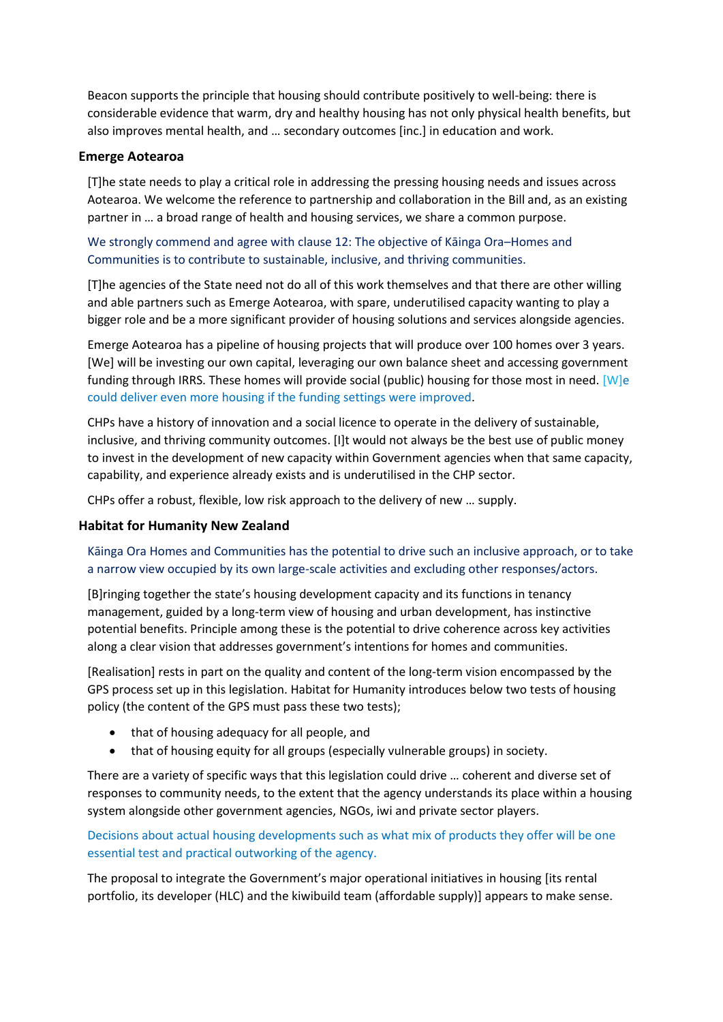Beacon supports the principle that housing should contribute positively to well-being: there is considerable evidence that warm, dry and healthy housing has not only physical health benefits, but also improves mental health, and … secondary outcomes [inc.] in education and work.

#### **Emerge Aotearoa**

[T]he state needs to play a critical role in addressing the pressing housing needs and issues across Aotearoa. We welcome the reference to partnership and collaboration in the Bill and, as an existing partner in … a broad range of health and housing services, we share a common purpose.

### We strongly commend and agree with clause 12: The objective of Kāinga Ora–Homes and Communities is to contribute to sustainable, inclusive, and thriving communities.

[T]he agencies of the State need not do all of this work themselves and that there are other willing and able partners such as Emerge Aotearoa, with spare, underutilised capacity wanting to play a bigger role and be a more significant provider of housing solutions and services alongside agencies.

Emerge Aotearoa has a pipeline of housing projects that will produce over 100 homes over 3 years. [We] will be investing our own capital, leveraging our own balance sheet and accessing government funding through IRRS. These homes will provide social (public) housing for those most in need. [W]e could deliver even more housing if the funding settings were improved.

CHPs have a history of innovation and a social licence to operate in the delivery of sustainable, inclusive, and thriving community outcomes. [I]t would not always be the best use of public money to invest in the development of new capacity within Government agencies when that same capacity, capability, and experience already exists and is underutilised in the CHP sector.

CHPs offer a robust, flexible, low risk approach to the delivery of new … supply.

#### **Habitat for Humanity New Zealand**

### Kāinga Ora Homes and Communities has the potential to drive such an inclusive approach, or to take a narrow view occupied by its own large-scale activities and excluding other responses/actors.

[B]ringing together the state's housing development capacity and its functions in tenancy management, guided by a long-term view of housing and urban development, has instinctive potential benefits. Principle among these is the potential to drive coherence across key activities along a clear vision that addresses government's intentions for homes and communities.

[Realisation] rests in part on the quality and content of the long-term vision encompassed by the GPS process set up in this legislation. Habitat for Humanity introduces below two tests of housing policy (the content of the GPS must pass these two tests);

- that of housing adequacy for all people, and
- that of housing equity for all groups (especially vulnerable groups) in society.

There are a variety of specific ways that this legislation could drive … coherent and diverse set of responses to community needs, to the extent that the agency understands its place within a housing system alongside other government agencies, NGOs, iwi and private sector players.

Decisions about actual housing developments such as what mix of products they offer will be one essential test and practical outworking of the agency.

The proposal to integrate the Government's major operational initiatives in housing [its rental portfolio, its developer (HLC) and the kiwibuild team (affordable supply)] appears to make sense.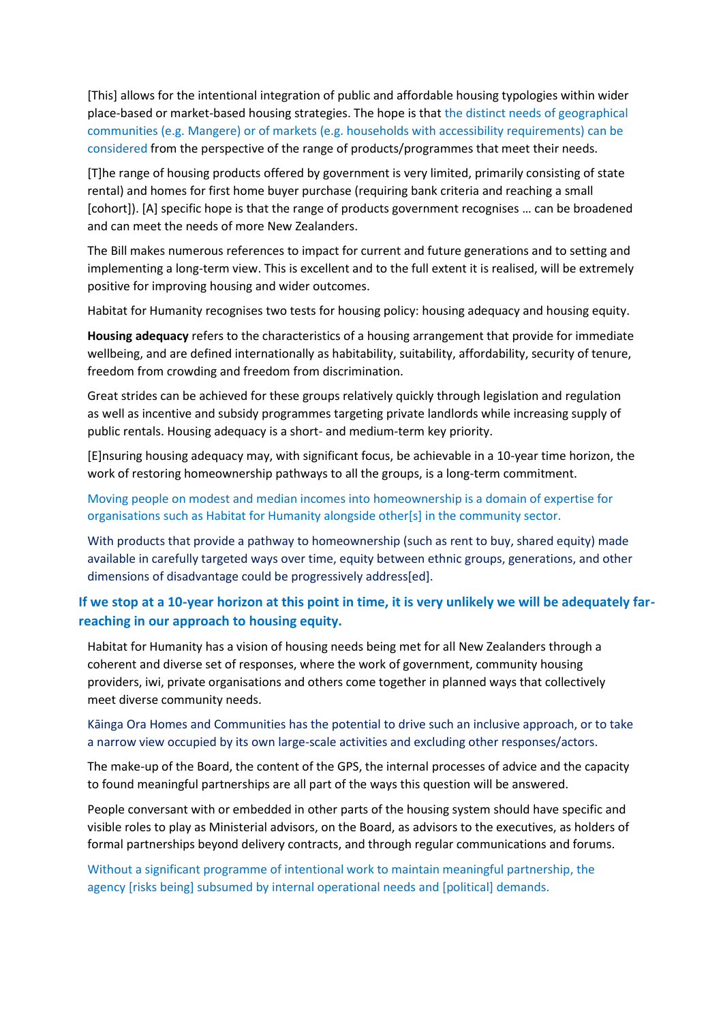[This] allows for the intentional integration of public and affordable housing typologies within wider place-based or market-based housing strategies. The hope is that the distinct needs of geographical communities (e.g. Mangere) or of markets (e.g. households with accessibility requirements) can be considered from the perspective of the range of products/programmes that meet their needs.

[T]he range of housing products offered by government is very limited, primarily consisting of state rental) and homes for first home buyer purchase (requiring bank criteria and reaching a small [cohort]). [A] specific hope is that the range of products government recognises … can be broadened and can meet the needs of more New Zealanders.

The Bill makes numerous references to impact for current and future generations and to setting and implementing a long-term view. This is excellent and to the full extent it is realised, will be extremely positive for improving housing and wider outcomes.

Habitat for Humanity recognises two tests for housing policy: housing adequacy and housing equity.

**Housing adequacy** refers to the characteristics of a housing arrangement that provide for immediate wellbeing, and are defined internationally as habitability, suitability, affordability, security of tenure, freedom from crowding and freedom from discrimination.

Great strides can be achieved for these groups relatively quickly through legislation and regulation as well as incentive and subsidy programmes targeting private landlords while increasing supply of public rentals. Housing adequacy is a short- and medium-term key priority.

[E]nsuring housing adequacy may, with significant focus, be achievable in a 10-year time horizon, the work of restoring homeownership pathways to all the groups, is a long-term commitment.

#### Moving people on modest and median incomes into homeownership is a domain of expertise for organisations such as Habitat for Humanity alongside other[s] in the community sector.

With products that provide a pathway to homeownership (such as rent to buy, shared equity) made available in carefully targeted ways over time, equity between ethnic groups, generations, and other dimensions of disadvantage could be progressively address[ed].

# **If we stop at a 10-year horizon at this point in time, it is very unlikely we will be adequately farreaching in our approach to housing equity.**

Habitat for Humanity has a vision of housing needs being met for all New Zealanders through a coherent and diverse set of responses, where the work of government, community housing providers, iwi, private organisations and others come together in planned ways that collectively meet diverse community needs.

#### Kāinga Ora Homes and Communities has the potential to drive such an inclusive approach, or to take a narrow view occupied by its own large-scale activities and excluding other responses/actors.

The make-up of the Board, the content of the GPS, the internal processes of advice and the capacity to found meaningful partnerships are all part of the ways this question will be answered.

People conversant with or embedded in other parts of the housing system should have specific and visible roles to play as Ministerial advisors, on the Board, as advisors to the executives, as holders of formal partnerships beyond delivery contracts, and through regular communications and forums.

Without a significant programme of intentional work to maintain meaningful partnership, the agency [risks being] subsumed by internal operational needs and [political] demands.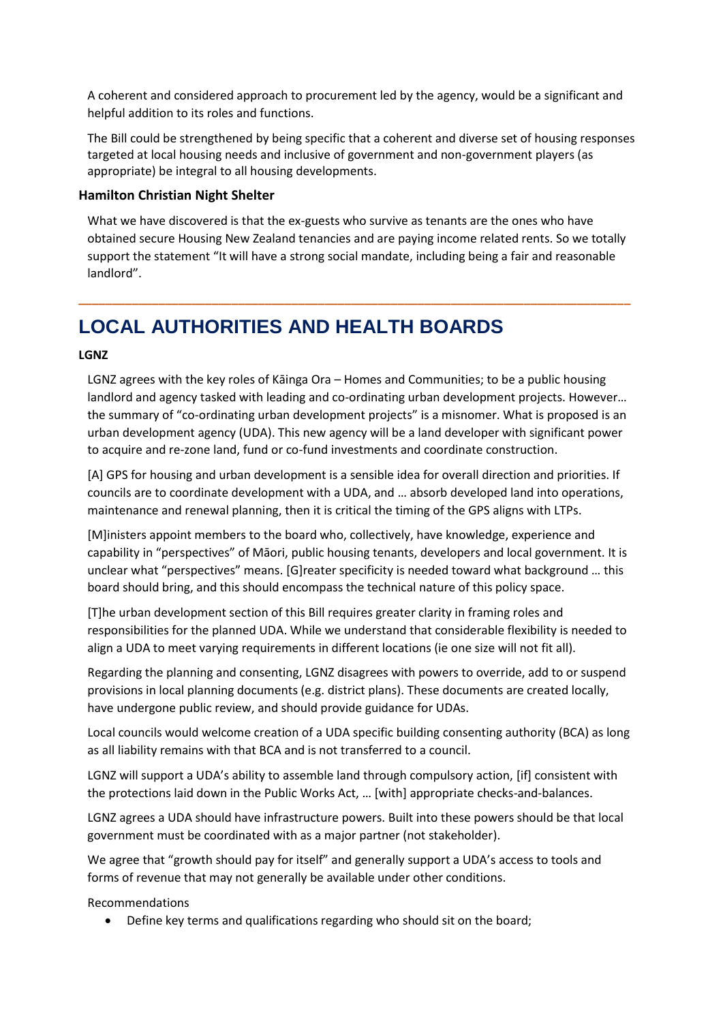A coherent and considered approach to procurement led by the agency, would be a significant and helpful addition to its roles and functions.

The Bill could be strengthened by being specific that a coherent and diverse set of housing responses targeted at local housing needs and inclusive of government and non-government players (as appropriate) be integral to all housing developments.

#### **Hamilton Christian Night Shelter**

What we have discovered is that the ex-guests who survive as tenants are the ones who have obtained secure Housing New Zealand tenancies and are paying income related rents. So we totally support the statement "It will have a strong social mandate, including being a fair and reasonable landlord".

**\_\_\_\_\_\_\_\_\_\_\_\_\_\_\_\_\_\_\_\_\_\_\_\_\_\_\_\_\_\_\_\_\_\_\_\_\_\_\_\_\_\_\_\_\_\_\_\_\_\_\_\_\_\_\_\_\_\_\_\_\_\_\_\_\_\_\_\_\_\_\_\_\_\_\_\_\_\_\_\_\_\_\_**

# **LOCAL AUTHORITIES AND HEALTH BOARDS**

#### **LGNZ**

LGNZ agrees with the key roles of Kāinga Ora – Homes and Communities; to be a public housing landlord and agency tasked with leading and co-ordinating urban development projects. However… the summary of "co-ordinating urban development projects" is a misnomer. What is proposed is an urban development agency (UDA). This new agency will be a land developer with significant power to acquire and re-zone land, fund or co-fund investments and coordinate construction.

[A] GPS for housing and urban development is a sensible idea for overall direction and priorities. If councils are to coordinate development with a UDA, and … absorb developed land into operations, maintenance and renewal planning, then it is critical the timing of the GPS aligns with LTPs.

[M]inisters appoint members to the board who, collectively, have knowledge, experience and capability in "perspectives" of Māori, public housing tenants, developers and local government. It is unclear what "perspectives" means. [G]reater specificity is needed toward what background … this board should bring, and this should encompass the technical nature of this policy space.

[T]he urban development section of this Bill requires greater clarity in framing roles and responsibilities for the planned UDA. While we understand that considerable flexibility is needed to align a UDA to meet varying requirements in different locations (ie one size will not fit all).

Regarding the planning and consenting, LGNZ disagrees with powers to override, add to or suspend provisions in local planning documents (e.g. district plans). These documents are created locally, have undergone public review, and should provide guidance for UDAs.

Local councils would welcome creation of a UDA specific building consenting authority (BCA) as long as all liability remains with that BCA and is not transferred to a council.

LGNZ will support a UDA's ability to assemble land through compulsory action, [if] consistent with the protections laid down in the Public Works Act, … [with] appropriate checks-and-balances.

LGNZ agrees a UDA should have infrastructure powers. Built into these powers should be that local government must be coordinated with as a major partner (not stakeholder).

We agree that "growth should pay for itself" and generally support a UDA's access to tools and forms of revenue that may not generally be available under other conditions.

Recommendations

• Define key terms and qualifications regarding who should sit on the board;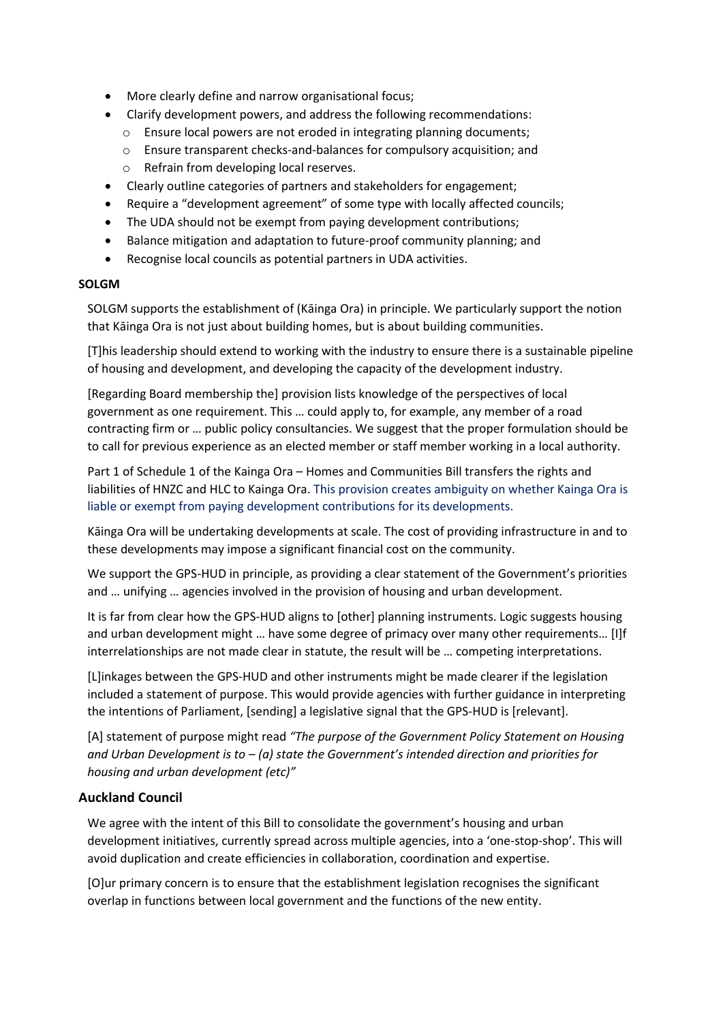- More clearly define and narrow organisational focus;
- Clarify development powers, and address the following recommendations:
	- o Ensure local powers are not eroded in integrating planning documents;
	- o Ensure transparent checks-and-balances for compulsory acquisition; and
	- o Refrain from developing local reserves.
- Clearly outline categories of partners and stakeholders for engagement;
- Require a "development agreement" of some type with locally affected councils;
- The UDA should not be exempt from paying development contributions;
- Balance mitigation and adaptation to future-proof community planning; and
- Recognise local councils as potential partners in UDA activities.

#### **SOLGM**

SOLGM supports the establishment of (Kāinga Ora) in principle. We particularly support the notion that Kāinga Ora is not just about building homes, but is about building communities.

[T]his leadership should extend to working with the industry to ensure there is a sustainable pipeline of housing and development, and developing the capacity of the development industry.

[Regarding Board membership the] provision lists knowledge of the perspectives of local government as one requirement. This … could apply to, for example, any member of a road contracting firm or … public policy consultancies. We suggest that the proper formulation should be to call for previous experience as an elected member or staff member working in a local authority.

Part 1 of Schedule 1 of the Kainga Ora – Homes and Communities Bill transfers the rights and liabilities of HNZC and HLC to Kainga Ora. This provision creates ambiguity on whether Kainga Ora is liable or exempt from paying development contributions for its developments.

Kāinga Ora will be undertaking developments at scale. The cost of providing infrastructure in and to these developments may impose a significant financial cost on the community.

We support the GPS-HUD in principle, as providing a clear statement of the Government's priorities and … unifying … agencies involved in the provision of housing and urban development.

It is far from clear how the GPS-HUD aligns to [other] planning instruments. Logic suggests housing and urban development might … have some degree of primacy over many other requirements… [I]f interrelationships are not made clear in statute, the result will be … competing interpretations.

[L]inkages between the GPS-HUD and other instruments might be made clearer if the legislation included a statement of purpose. This would provide agencies with further guidance in interpreting the intentions of Parliament, [sending] a legislative signal that the GPS-HUD is [relevant].

[A] statement of purpose might read *"The purpose of the Government Policy Statement on Housing and Urban Development is to – (a) state the Government's intended direction and priorities for housing and urban development (etc)"*

#### **Auckland Council**

We agree with the intent of this Bill to consolidate the government's housing and urban development initiatives, currently spread across multiple agencies, into a 'one-stop-shop'. This will avoid duplication and create efficiencies in collaboration, coordination and expertise.

[O]ur primary concern is to ensure that the establishment legislation recognises the significant overlap in functions between local government and the functions of the new entity.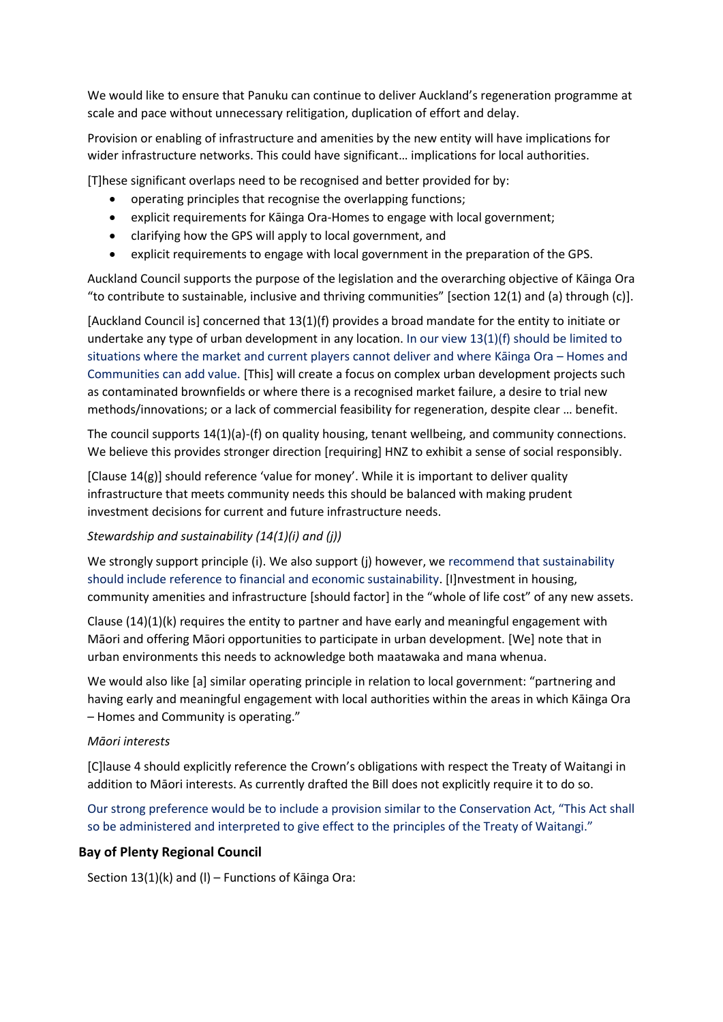We would like to ensure that Panuku can continue to deliver Auckland's regeneration programme at scale and pace without unnecessary relitigation, duplication of effort and delay.

Provision or enabling of infrastructure and amenities by the new entity will have implications for wider infrastructure networks. This could have significant… implications for local authorities.

[T]hese significant overlaps need to be recognised and better provided for by:

- operating principles that recognise the overlapping functions;
- explicit requirements for Kāinga Ora-Homes to engage with local government;
- clarifying how the GPS will apply to local government, and
- explicit requirements to engage with local government in the preparation of the GPS.

Auckland Council supports the purpose of the legislation and the overarching objective of Kāinga Ora "to contribute to sustainable, inclusive and thriving communities" [section 12(1) and (a) through (c)].

[Auckland Council is] concerned that 13(1)(f) provides a broad mandate for the entity to initiate or undertake any type of urban development in any location. In our view 13(1)(f) should be limited to situations where the market and current players cannot deliver and where Kāinga Ora – Homes and Communities can add value. [This] will create a focus on complex urban development projects such as contaminated brownfields or where there is a recognised market failure, a desire to trial new methods/innovations; or a lack of commercial feasibility for regeneration, despite clear … benefit.

The council supports 14(1)(a)-(f) on quality housing, tenant wellbeing, and community connections. We believe this provides stronger direction [requiring] HNZ to exhibit a sense of social responsibly.

[Clause 14(g)] should reference 'value for money'. While it is important to deliver quality infrastructure that meets community needs this should be balanced with making prudent investment decisions for current and future infrastructure needs.

#### *Stewardship and sustainability (14(1)(i) and (j))*

We strongly support principle (i). We also support (j) however, we recommend that sustainability should include reference to financial and economic sustainability. [I]nvestment in housing, community amenities and infrastructure [should factor] in the "whole of life cost" of any new assets.

Clause  $(14)(1)(k)$  requires the entity to partner and have early and meaningful engagement with Māori and offering Māori opportunities to participate in urban development. [We] note that in urban environments this needs to acknowledge both maatawaka and mana whenua.

We would also like [a] similar operating principle in relation to local government: "partnering and having early and meaningful engagement with local authorities within the areas in which Kāinga Ora – Homes and Community is operating."

#### *Māori interests*

[C]lause 4 should explicitly reference the Crown's obligations with respect the Treaty of Waitangi in addition to Māori interests. As currently drafted the Bill does not explicitly require it to do so.

Our strong preference would be to include a provision similar to the Conservation Act, "This Act shall so be administered and interpreted to give effect to the principles of the Treaty of Waitangi."

#### **Bay of Plenty Regional Council**

Section 13(1)(k) and (l) – Functions of Kāinga Ora: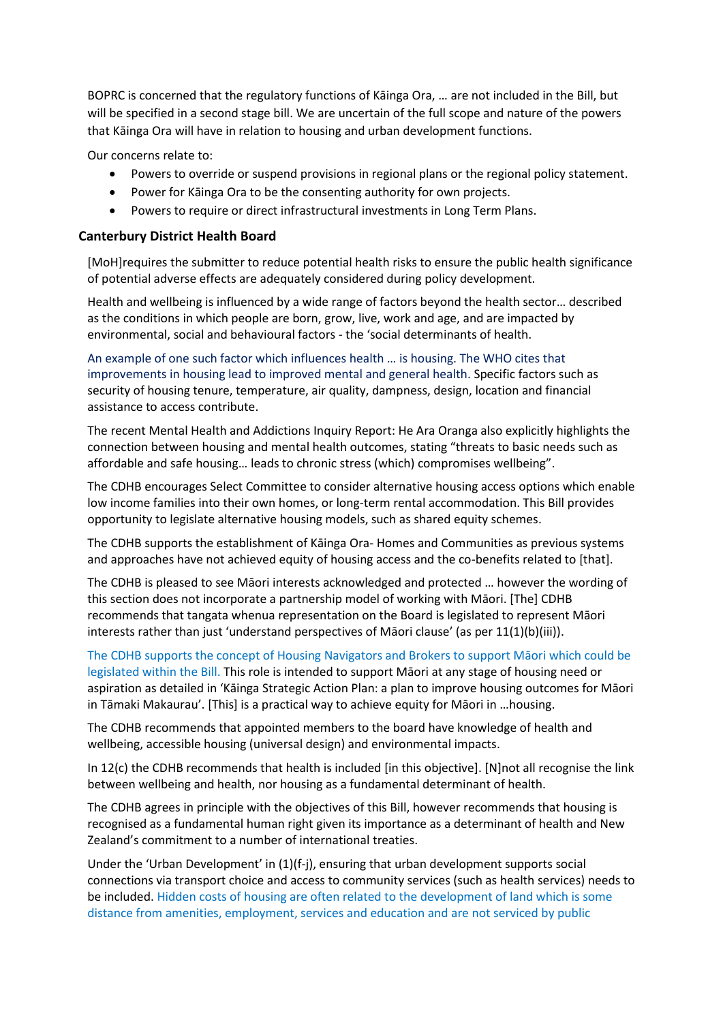BOPRC is concerned that the regulatory functions of Kāinga Ora, … are not included in the Bill, but will be specified in a second stage bill. We are uncertain of the full scope and nature of the powers that Kāinga Ora will have in relation to housing and urban development functions.

Our concerns relate to:

- Powers to override or suspend provisions in regional plans or the regional policy statement.
- Power for Kāinga Ora to be the consenting authority for own projects.
- Powers to require or direct infrastructural investments in Long Term Plans.

#### **Canterbury District Health Board**

[MoH]requires the submitter to reduce potential health risks to ensure the public health significance of potential adverse effects are adequately considered during policy development.

Health and wellbeing is influenced by a wide range of factors beyond the health sector… described as the conditions in which people are born, grow, live, work and age, and are impacted by environmental, social and behavioural factors - the 'social determinants of health.

An example of one such factor which influences health … is housing. The WHO cites that improvements in housing lead to improved mental and general health. Specific factors such as security of housing tenure, temperature, air quality, dampness, design, location and financial assistance to access contribute.

The recent Mental Health and Addictions Inquiry Report: He Ara Oranga also explicitly highlights the connection between housing and mental health outcomes, stating "threats to basic needs such as affordable and safe housing… leads to chronic stress (which) compromises wellbeing".

The CDHB encourages Select Committee to consider alternative housing access options which enable low income families into their own homes, or long-term rental accommodation. This Bill provides opportunity to legislate alternative housing models, such as shared equity schemes.

The CDHB supports the establishment of Kāinga Ora- Homes and Communities as previous systems and approaches have not achieved equity of housing access and the co-benefits related to [that].

The CDHB is pleased to see Māori interests acknowledged and protected … however the wording of this section does not incorporate a partnership model of working with Māori. [The] CDHB recommends that tangata whenua representation on the Board is legislated to represent Māori interests rather than just 'understand perspectives of Māori clause' (as per 11(1)(b)(iii)).

The CDHB supports the concept of Housing Navigators and Brokers to support Māori which could be legislated within the Bill. This role is intended to support Māori at any stage of housing need or aspiration as detailed in 'Kāinga Strategic Action Plan: a plan to improve housing outcomes for Māori in Tāmaki Makaurau'. [This] is a practical way to achieve equity for Māori in …housing.

The CDHB recommends that appointed members to the board have knowledge of health and wellbeing, accessible housing (universal design) and environmental impacts.

In 12(c) the CDHB recommends that health is included [in this objective]. [N]not all recognise the link between wellbeing and health, nor housing as a fundamental determinant of health.

The CDHB agrees in principle with the objectives of this Bill, however recommends that housing is recognised as a fundamental human right given its importance as a determinant of health and New Zealand's commitment to a number of international treaties.

Under the 'Urban Development' in (1)(f-j), ensuring that urban development supports social connections via transport choice and access to community services (such as health services) needs to be included. Hidden costs of housing are often related to the development of land which is some distance from amenities, employment, services and education and are not serviced by public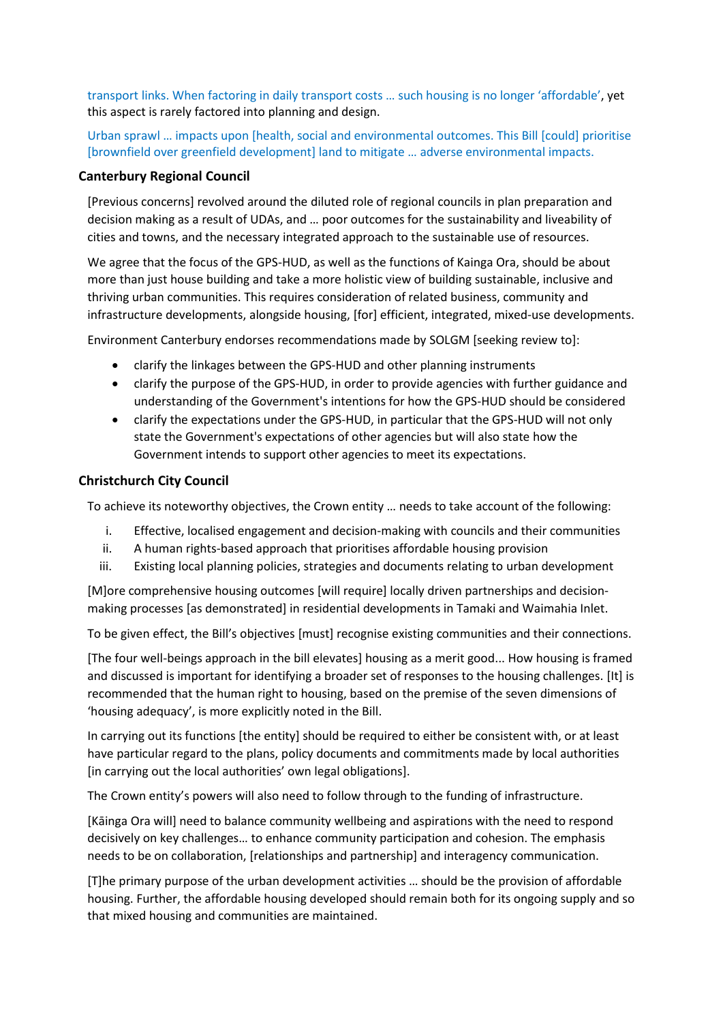transport links. When factoring in daily transport costs … such housing is no longer 'affordable', yet this aspect is rarely factored into planning and design.

Urban sprawl … impacts upon [health, social and environmental outcomes. This Bill [could] prioritise [brownfield over greenfield development] land to mitigate … adverse environmental impacts.

#### **Canterbury Regional Council**

[Previous concerns] revolved around the diluted role of regional councils in plan preparation and decision making as a result of UDAs, and … poor outcomes for the sustainability and liveability of cities and towns, and the necessary integrated approach to the sustainable use of resources.

We agree that the focus of the GPS-HUD, as well as the functions of Kainga Ora, should be about more than just house building and take a more holistic view of building sustainable, inclusive and thriving urban communities. This requires consideration of related business, community and infrastructure developments, alongside housing, [for] efficient, integrated, mixed-use developments.

Environment Canterbury endorses recommendations made by SOLGM [seeking review to]:

- clarify the linkages between the GPS-HUD and other planning instruments
- clarify the purpose of the GPS-HUD, in order to provide agencies with further guidance and understanding of the Government's intentions for how the GPS-HUD should be considered
- clarify the expectations under the GPS-HUD, in particular that the GPS-HUD will not only state the Government's expectations of other agencies but will also state how the Government intends to support other agencies to meet its expectations.

#### **Christchurch City Council**

To achieve its noteworthy objectives, the Crown entity … needs to take account of the following:

- i. Effective, localised engagement and decision-making with councils and their communities
- ii. A human rights-based approach that prioritises affordable housing provision
- iii. Existing local planning policies, strategies and documents relating to urban development

[M]ore comprehensive housing outcomes [will require] locally driven partnerships and decisionmaking processes [as demonstrated] in residential developments in Tamaki and Waimahia Inlet.

To be given effect, the Bill's objectives [must] recognise existing communities and their connections.

[The four well-beings approach in the bill elevates] housing as a merit good... How housing is framed and discussed is important for identifying a broader set of responses to the housing challenges. [It] is recommended that the human right to housing, based on the premise of the seven dimensions of 'housing adequacy', is more explicitly noted in the Bill.

In carrying out its functions [the entity] should be required to either be consistent with, or at least have particular regard to the plans, policy documents and commitments made by local authorities [in carrying out the local authorities' own legal obligations].

The Crown entity's powers will also need to follow through to the funding of infrastructure.

[Kāinga Ora will] need to balance community wellbeing and aspirations with the need to respond decisively on key challenges… to enhance community participation and cohesion. The emphasis needs to be on collaboration, [relationships and partnership] and interagency communication.

[T]he primary purpose of the urban development activities … should be the provision of affordable housing. Further, the affordable housing developed should remain both for its ongoing supply and so that mixed housing and communities are maintained.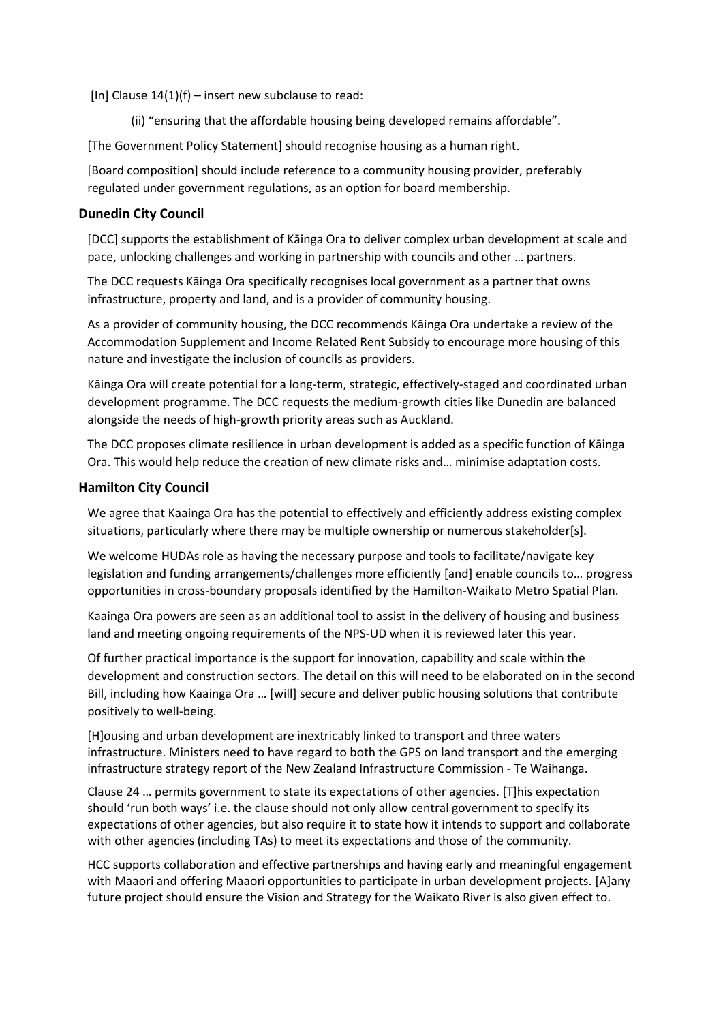[In] Clause  $14(1)(f)$  – insert new subclause to read:

(ii) "ensuring that the affordable housing being developed remains affordable".

[The Government Policy Statement] should recognise housing as a human right.

[Board composition] should include reference to a community housing provider, preferably regulated under government regulations, as an option for board membership.

#### **Dunedin City Council**

[DCC] supports the establishment of Kāinga Ora to deliver complex urban development at scale and pace, unlocking challenges and working in partnership with councils and other … partners.

The DCC requests Kāinga Ora specifically recognises local government as a partner that owns infrastructure, property and land, and is a provider of community housing.

As a provider of community housing, the DCC recommends Kāinga Ora undertake a review of the Accommodation Supplement and Income Related Rent Subsidy to encourage more housing of this nature and investigate the inclusion of councils as providers.

Kāinga Ora will create potential for a long-term, strategic, effectively-staged and coordinated urban development programme. The DCC requests the medium-growth cities like Dunedin are balanced alongside the needs of high-growth priority areas such as Auckland.

The DCC proposes climate resilience in urban development is added as a specific function of Kāinga Ora. This would help reduce the creation of new climate risks and… minimise adaptation costs.

#### **Hamilton City Council**

We agree that Kaainga Ora has the potential to effectively and efficiently address existing complex situations, particularly where there may be multiple ownership or numerous stakeholder[s].

We welcome HUDAs role as having the necessary purpose and tools to facilitate/navigate key legislation and funding arrangements/challenges more efficiently [and] enable councils to… progress opportunities in cross-boundary proposals identified by the Hamilton-Waikato Metro Spatial Plan.

Kaainga Ora powers are seen as an additional tool to assist in the delivery of housing and business land and meeting ongoing requirements of the NPS-UD when it is reviewed later this year.

Of further practical importance is the support for innovation, capability and scale within the development and construction sectors. The detail on this will need to be elaborated on in the second Bill, including how Kaainga Ora … [will] secure and deliver public housing solutions that contribute positively to well-being.

[H]ousing and urban development are inextricably linked to transport and three waters infrastructure. Ministers need to have regard to both the GPS on land transport and the emerging infrastructure strategy report of the New Zealand Infrastructure Commission - Te Waihanga.

Clause 24 … permits government to state its expectations of other agencies. [T]his expectation should 'run both ways' i.e. the clause should not only allow central government to specify its expectations of other agencies, but also require it to state how it intends to support and collaborate with other agencies (including TAs) to meet its expectations and those of the community.

HCC supports collaboration and effective partnerships and having early and meaningful engagement with Maaori and offering Maaori opportunities to participate in urban development projects. [A]any future project should ensure the Vision and Strategy for the Waikato River is also given effect to.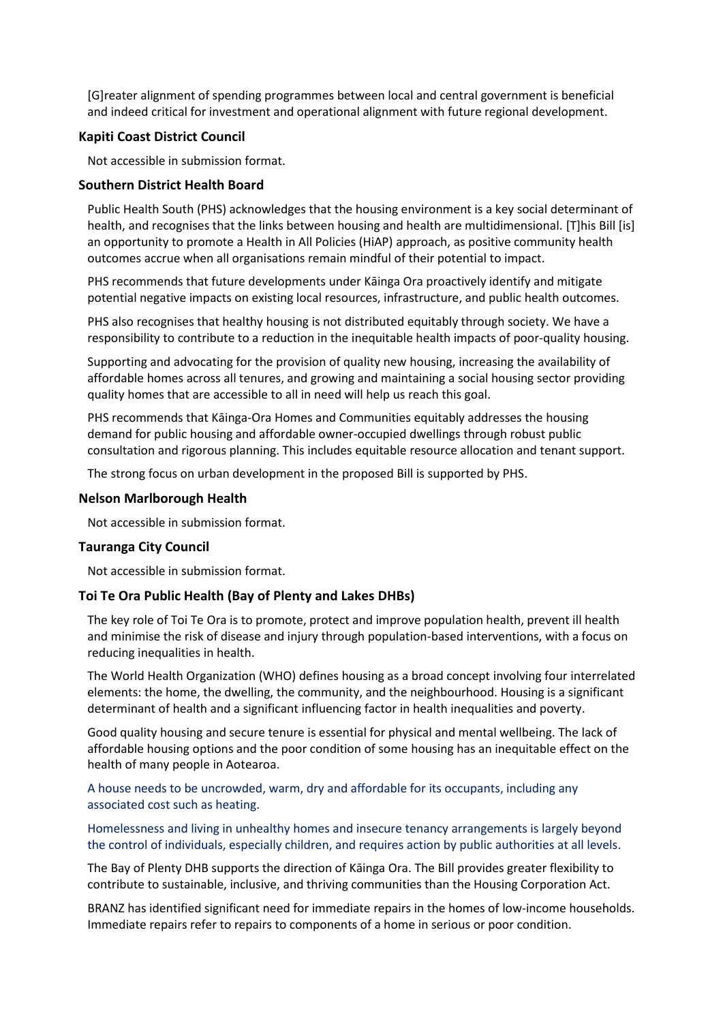[G]reater alignment of spending programmes between local and central government is beneficial and indeed critical for investment and operational alignment with future regional development.

#### **Kapiti Coast District Council**

Not accessible in submission format.

#### **Southern District Health Board**

Public Health South (PHS) acknowledges that the housing environment is a key social determinant of health, and recognises that the links between housing and health are multidimensional. [T]his Bill [is] an opportunity to promote a Health in All Policies (HiAP) approach, as positive community health outcomes accrue when all organisations remain mindful of their potential to impact.

PHS recommends that future developments under Kāinga Ora proactively identify and mitigate potential negative impacts on existing local resources, infrastructure, and public health outcomes.

PHS also recognises that healthy housing is not distributed equitably through society. We have a responsibility to contribute to a reduction in the inequitable health impacts of poor-quality housing.

Supporting and advocating for the provision of quality new housing, increasing the availability of affordable homes across all tenures, and growing and maintaining a social housing sector providing quality homes that are accessible to all in need will help us reach this goal.

PHS recommends that Kāinga-Ora Homes and Communities equitably addresses the housing demand for public housing and affordable owner-occupied dwellings through robust public consultation and rigorous planning. This includes equitable resource allocation and tenant support.

The strong focus on urban development in the proposed Bill is supported by PHS.

#### **Nelson Marlborough Health**

Not accessible in submission format.

#### **Tauranga City Council**

Not accessible in submission format.

#### **Toi Te Ora Public Health (Bay of Plenty and Lakes DHBs)**

The key role of Toi Te Ora is to promote, protect and improve population health, prevent ill health and minimise the risk of disease and injury through population-based interventions, with a focus on reducing inequalities in health.

The World Health Organization (WHO) defines housing as a broad concept involving four interrelated elements: the home, the dwelling, the community, and the neighbourhood. Housing is a significant determinant of health and a significant influencing factor in health inequalities and poverty.

Good quality housing and secure tenure is essential for physical and mental wellbeing. The lack of affordable housing options and the poor condition of some housing has an inequitable effect on the health of many people in Aotearoa.

A house needs to be uncrowded, warm, dry and affordable for its occupants, including any associated cost such as heating.

Homelessness and living in unhealthy homes and insecure tenancy arrangements is largely beyond the control of individuals, especially children, and requires action by public authorities at all levels.

The Bay of Plenty DHB supports the direction of Kāinga Ora. The Bill provides greater flexibility to contribute to sustainable, inclusive, and thriving communities than the Housing Corporation Act.

BRANZ has identified significant need for immediate repairs in the homes of low-income households. Immediate repairs refer to repairs to components of a home in serious or poor condition.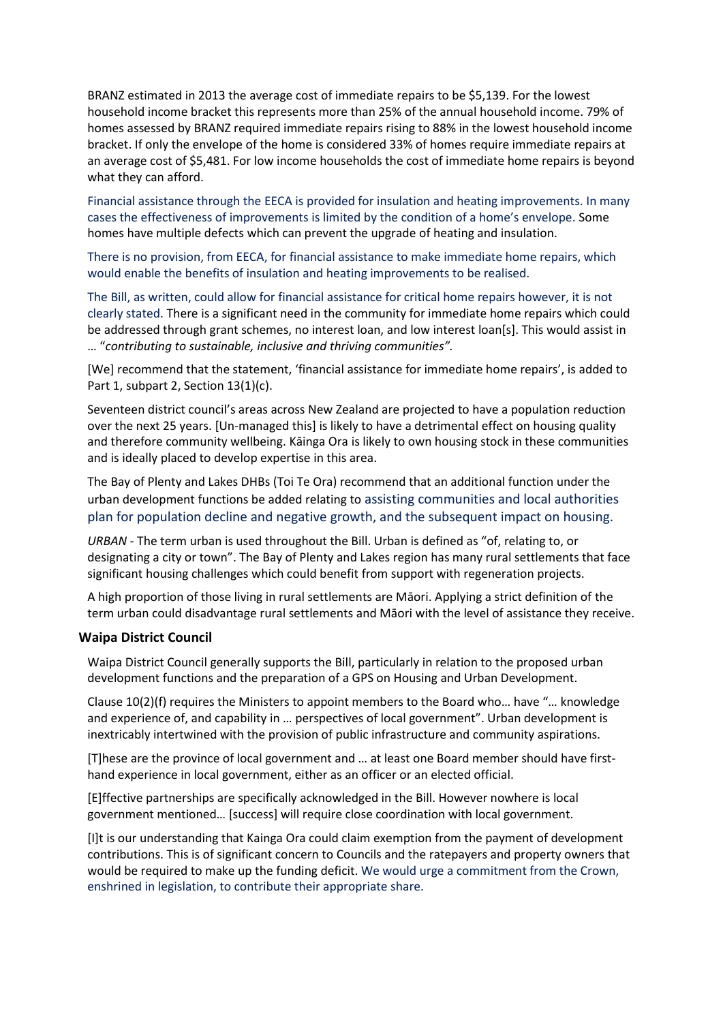BRANZ estimated in 2013 the average cost of immediate repairs to be \$5,139. For the lowest household income bracket this represents more than 25% of the annual household income. 79% of homes assessed by BRANZ required immediate repairs rising to 88% in the lowest household income bracket. If only the envelope of the home is considered 33% of homes require immediate repairs at an average cost of \$5,481. For low income households the cost of immediate home repairs is beyond what they can afford.

Financial assistance through the EECA is provided for insulation and heating improvements. In many cases the effectiveness of improvements is limited by the condition of a home's envelope. Some homes have multiple defects which can prevent the upgrade of heating and insulation.

There is no provision, from EECA, for financial assistance to make immediate home repairs, which would enable the benefits of insulation and heating improvements to be realised.

The Bill, as written, could allow for financial assistance for critical home repairs however, it is not clearly stated. There is a significant need in the community for immediate home repairs which could be addressed through grant schemes, no interest loan, and low interest loan[s]. This would assist in … "*contributing to sustainable, inclusive and thriving communities".*

[We] recommend that the statement, 'financial assistance for immediate home repairs', is added to Part 1, subpart 2, Section 13(1)(c).

Seventeen district council's areas across New Zealand are projected to have a population reduction over the next 25 years. [Un-managed this] is likely to have a detrimental effect on housing quality and therefore community wellbeing. Kāinga Ora is likely to own housing stock in these communities and is ideally placed to develop expertise in this area.

The Bay of Plenty and Lakes DHBs (Toi Te Ora) recommend that an additional function under the urban development functions be added relating to assisting communities and local authorities plan for population decline and negative growth, and the subsequent impact on housing.

*URBAN -* The term urban is used throughout the Bill. Urban is defined as "of, relating to, or designating a city or town". The Bay of Plenty and Lakes region has many rural settlements that face significant housing challenges which could benefit from support with regeneration projects.

A high proportion of those living in rural settlements are Māori. Applying a strict definition of the term urban could disadvantage rural settlements and Māori with the level of assistance they receive.

#### **Waipa District Council**

Waipa District Council generally supports the Bill, particularly in relation to the proposed urban development functions and the preparation of a GPS on Housing and Urban Development.

Clause 10(2)(f) requires the Ministers to appoint members to the Board who… have "… knowledge and experience of, and capability in … perspectives of local government". Urban development is inextricably intertwined with the provision of public infrastructure and community aspirations.

[T]hese are the province of local government and … at least one Board member should have firsthand experience in local government, either as an officer or an elected official.

[E]ffective partnerships are specifically acknowledged in the Bill. However nowhere is local government mentioned… [success] will require close coordination with local government.

[I]t is our understanding that Kainga Ora could claim exemption from the payment of development contributions. This is of significant concern to Councils and the ratepayers and property owners that would be required to make up the funding deficit. We would urge a commitment from the Crown, enshrined in legislation, to contribute their appropriate share.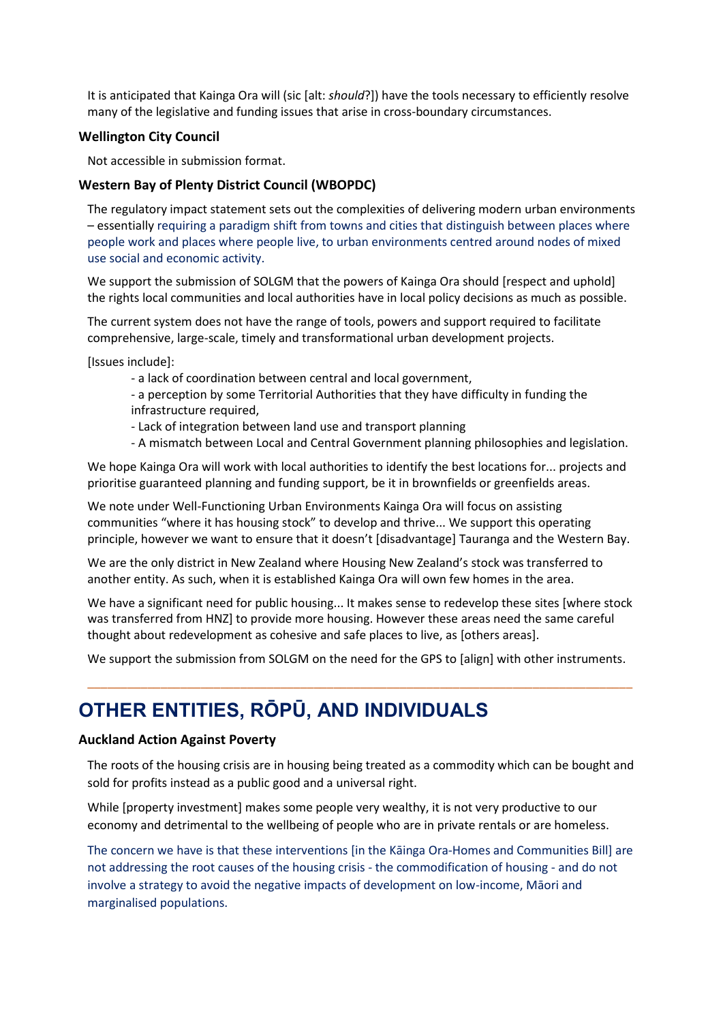It is anticipated that Kainga Ora will (sic [alt: *should*?]) have the tools necessary to efficiently resolve many of the legislative and funding issues that arise in cross-boundary circumstances.

#### **Wellington City Council**

Not accessible in submission format.

#### **Western Bay of Plenty District Council (WBOPDC)**

The regulatory impact statement sets out the complexities of delivering modern urban environments – essentially requiring a paradigm shift from towns and cities that distinguish between places where people work and places where people live, to urban environments centred around nodes of mixed use social and economic activity.

We support the submission of SOLGM that the powers of Kainga Ora should [respect and uphold] the rights local communities and local authorities have in local policy decisions as much as possible.

The current system does not have the range of tools, powers and support required to facilitate comprehensive, large-scale, timely and transformational urban development projects.

[Issues include]:

- a lack of coordination between central and local government,

- a perception by some Territorial Authorities that they have difficulty in funding the infrastructure required,

- Lack of integration between land use and transport planning
- A mismatch between Local and Central Government planning philosophies and legislation.

We hope Kainga Ora will work with local authorities to identify the best locations for... projects and prioritise guaranteed planning and funding support, be it in brownfields or greenfields areas.

We note under Well-Functioning Urban Environments Kainga Ora will focus on assisting communities "where it has housing stock" to develop and thrive... We support this operating principle, however we want to ensure that it doesn't [disadvantage] Tauranga and the Western Bay.

We are the only district in New Zealand where Housing New Zealand's stock was transferred to another entity. As such, when it is established Kainga Ora will own few homes in the area.

We have a significant need for public housing... It makes sense to redevelop these sites [where stock was transferred from HNZ] to provide more housing. However these areas need the same careful thought about redevelopment as cohesive and safe places to live, as [others areas].

We support the submission from SOLGM on the need for the GPS to [align] with other instruments.

\_\_\_\_\_\_\_\_\_\_\_\_\_\_\_\_\_\_\_\_\_\_\_\_\_\_\_\_\_\_\_\_\_\_\_\_\_\_\_\_\_\_\_\_\_\_\_\_\_\_\_\_\_\_\_\_\_\_\_\_\_\_\_\_\_\_\_\_\_\_\_\_\_\_\_\_\_\_\_\_\_\_

# **OTHER ENTITIES, RŌPŪ, AND INDIVIDUALS**

#### **Auckland Action Against Poverty**

The roots of the housing crisis are in housing being treated as a commodity which can be bought and sold for profits instead as a public good and a universal right.

While [property investment] makes some people very wealthy, it is not very productive to our economy and detrimental to the wellbeing of people who are in private rentals or are homeless.

The concern we have is that these interventions [in the Kāinga Ora-Homes and Communities Bill] are not addressing the root causes of the housing crisis - the commodification of housing - and do not involve a strategy to avoid the negative impacts of development on low-income, Māori and marginalised populations.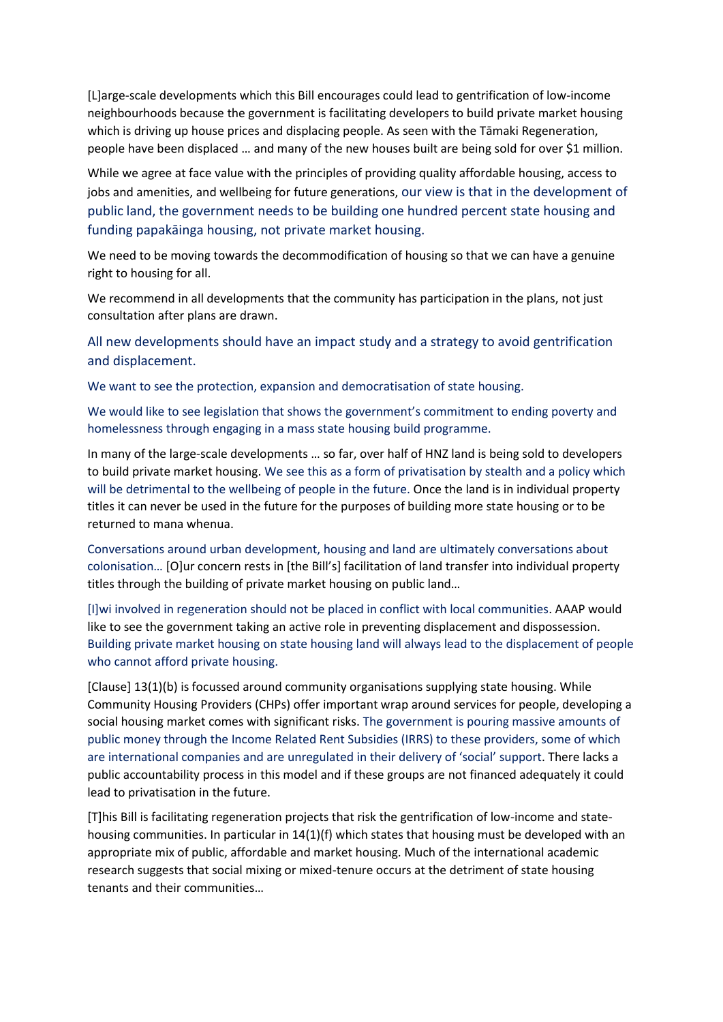[L]arge-scale developments which this Bill encourages could lead to gentrification of low-income neighbourhoods because the government is facilitating developers to build private market housing which is driving up house prices and displacing people. As seen with the Tāmaki Regeneration, people have been displaced … and many of the new houses built are being sold for over \$1 million.

While we agree at face value with the principles of providing quality affordable housing, access to jobs and amenities, and wellbeing for future generations, our view is that in the development of public land, the government needs to be building one hundred percent state housing and funding papakāinga housing, not private market housing.

We need to be moving towards the decommodification of housing so that we can have a genuine right to housing for all.

We recommend in all developments that the community has participation in the plans, not just consultation after plans are drawn.

All new developments should have an impact study and a strategy to avoid gentrification and displacement.

We want to see the protection, expansion and democratisation of state housing.

We would like to see legislation that shows the government's commitment to ending poverty and homelessness through engaging in a mass state housing build programme.

In many of the large-scale developments … so far, over half of HNZ land is being sold to developers to build private market housing. We see this as a form of privatisation by stealth and a policy which will be detrimental to the wellbeing of people in the future. Once the land is in individual property titles it can never be used in the future for the purposes of building more state housing or to be returned to mana whenua.

Conversations around urban development, housing and land are ultimately conversations about colonisation… [O]ur concern rests in [the Bill's] facilitation of land transfer into individual property titles through the building of private market housing on public land…

[I]wi involved in regeneration should not be placed in conflict with local communities. AAAP would like to see the government taking an active role in preventing displacement and dispossession. Building private market housing on state housing land will always lead to the displacement of people who cannot afford private housing.

[Clause] 13(1)(b) is focussed around community organisations supplying state housing. While Community Housing Providers (CHPs) offer important wrap around services for people, developing a social housing market comes with significant risks. The government is pouring massive amounts of public money through the Income Related Rent Subsidies (IRRS) to these providers, some of which are international companies and are unregulated in their delivery of 'social' support. There lacks a public accountability process in this model and if these groups are not financed adequately it could lead to privatisation in the future.

[T]his Bill is facilitating regeneration projects that risk the gentrification of low-income and statehousing communities. In particular in 14(1)(f) which states that housing must be developed with an appropriate mix of public, affordable and market housing. Much of the international academic research suggests that social mixing or mixed-tenure occurs at the detriment of state housing tenants and their communities…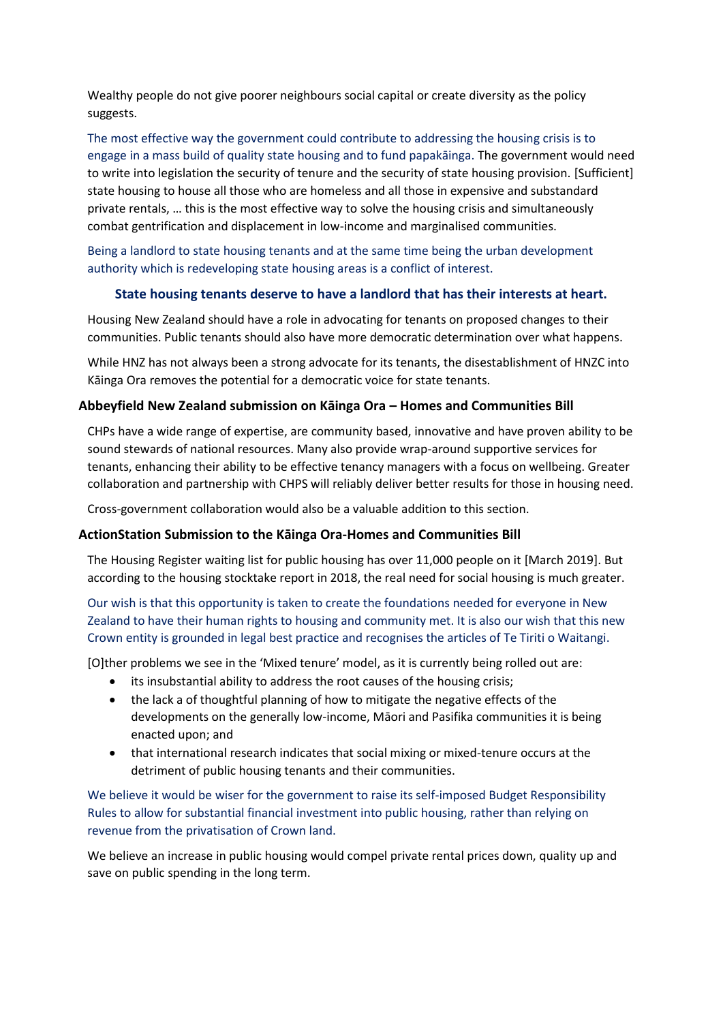Wealthy people do not give poorer neighbours social capital or create diversity as the policy suggests.

The most effective way the government could contribute to addressing the housing crisis is to engage in a mass build of quality state housing and to fund papakāinga. The government would need to write into legislation the security of tenure and the security of state housing provision. [Sufficient] state housing to house all those who are homeless and all those in expensive and substandard private rentals, … this is the most effective way to solve the housing crisis and simultaneously combat gentrification and displacement in low-income and marginalised communities.

Being a landlord to state housing tenants and at the same time being the urban development authority which is redeveloping state housing areas is a conflict of interest.

#### **State housing tenants deserve to have a landlord that has their interests at heart.**

Housing New Zealand should have a role in advocating for tenants on proposed changes to their communities. Public tenants should also have more democratic determination over what happens.

While HNZ has not always been a strong advocate for its tenants, the disestablishment of HNZC into Kāinga Ora removes the potential for a democratic voice for state tenants.

#### **Abbeyfield New Zealand submission on Kāinga Ora – Homes and Communities Bill**

CHPs have a wide range of expertise, are community based, innovative and have proven ability to be sound stewards of national resources. Many also provide wrap-around supportive services for tenants, enhancing their ability to be effective tenancy managers with a focus on wellbeing. Greater collaboration and partnership with CHPS will reliably deliver better results for those in housing need.

Cross-government collaboration would also be a valuable addition to this section.

#### **ActionStation Submission to the Kāinga Ora-Homes and Communities Bill**

The Housing Register waiting list for public housing has over 11,000 people on it [March 2019]. But according to the housing stocktake report in 2018, the real need for social housing is much greater.

Our wish is that this opportunity is taken to create the foundations needed for everyone in New Zealand to have their human rights to housing and community met. It is also our wish that this new Crown entity is grounded in legal best practice and recognises the articles of Te Tiriti o Waitangi.

[O]ther problems we see in the 'Mixed tenure' model, as it is currently being rolled out are:

- its insubstantial ability to address the root causes of the housing crisis;
- the lack a of thoughtful planning of how to mitigate the negative effects of the developments on the generally low-income, Māori and Pasifika communities it is being enacted upon; and
- that international research indicates that social mixing or mixed-tenure occurs at the detriment of public housing tenants and their communities.

We believe it would be wiser for the government to raise its self-imposed Budget Responsibility Rules to allow for substantial financial investment into public housing, rather than relying on revenue from the privatisation of Crown land.

We believe an increase in public housing would compel private rental prices down, quality up and save on public spending in the long term.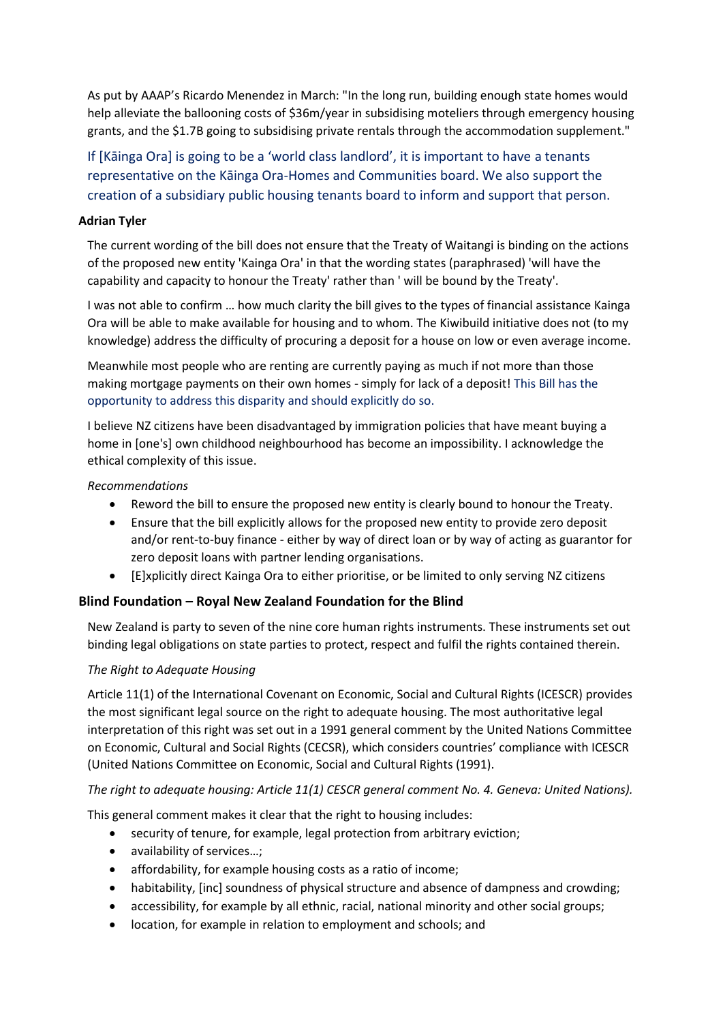As put by AAAP's Ricardo Menendez in March: "In the long run, building enough state homes would help alleviate the ballooning costs of \$36m/year in subsidising moteliers through emergency housing grants, and the \$1.7B going to subsidising private rentals through the accommodation supplement."

If [Kāinga Ora] is going to be a 'world class landlord', it is important to have a tenants representative on the Kāinga Ora-Homes and Communities board. We also support the creation of a subsidiary public housing tenants board to inform and support that person.

#### **Adrian Tyler**

The current wording of the bill does not ensure that the Treaty of Waitangi is binding on the actions of the proposed new entity 'Kainga Ora' in that the wording states (paraphrased) 'will have the capability and capacity to honour the Treaty' rather than ' will be bound by the Treaty'.

I was not able to confirm … how much clarity the bill gives to the types of financial assistance Kainga Ora will be able to make available for housing and to whom. The Kiwibuild initiative does not (to my knowledge) address the difficulty of procuring a deposit for a house on low or even average income.

Meanwhile most people who are renting are currently paying as much if not more than those making mortgage payments on their own homes - simply for lack of a deposit! This Bill has the opportunity to address this disparity and should explicitly do so.

I believe NZ citizens have been disadvantaged by immigration policies that have meant buying a home in [one's] own childhood neighbourhood has become an impossibility. I acknowledge the ethical complexity of this issue.

#### *Recommendations*

- Reword the bill to ensure the proposed new entity is clearly bound to honour the Treaty.
- Ensure that the bill explicitly allows for the proposed new entity to provide zero deposit and/or rent-to-buy finance - either by way of direct loan or by way of acting as guarantor for zero deposit loans with partner lending organisations.
- [E]xplicitly direct Kainga Ora to either prioritise, or be limited to only serving NZ citizens

#### **Blind Foundation – Royal New Zealand Foundation for the Blind**

New Zealand is party to seven of the nine core human rights instruments. These instruments set out binding legal obligations on state parties to protect, respect and fulfil the rights contained therein.

#### *The Right to Adequate Housing*

Article 11(1) of the International Covenant on Economic, Social and Cultural Rights (ICESCR) provides the most significant legal source on the right to adequate housing. The most authoritative legal interpretation of this right was set out in a 1991 general comment by the United Nations Committee on Economic, Cultural and Social Rights (CECSR), which considers countries' compliance with ICESCR (United Nations Committee on Economic, Social and Cultural Rights (1991).

*The right to adequate housing: Article 11(1) CESCR general comment No. 4. Geneva: United Nations).* 

This general comment makes it clear that the right to housing includes:

- security of tenure, for example, legal protection from arbitrary eviction;
- availability of services...;
- affordability, for example housing costs as a ratio of income;
- habitability, [inc] soundness of physical structure and absence of dampness and crowding;
- accessibility, for example by all ethnic, racial, national minority and other social groups;
- location, for example in relation to employment and schools; and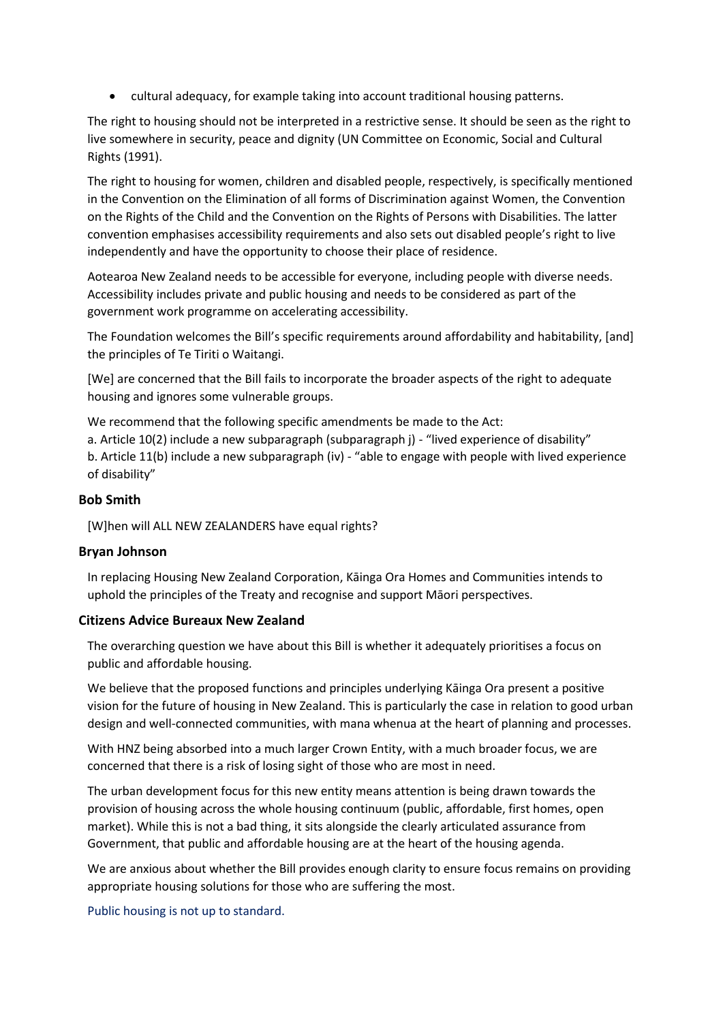• cultural adequacy, for example taking into account traditional housing patterns.

The right to housing should not be interpreted in a restrictive sense. It should be seen as the right to live somewhere in security, peace and dignity (UN Committee on Economic, Social and Cultural Rights (1991).

The right to housing for women, children and disabled people, respectively, is specifically mentioned in the Convention on the Elimination of all forms of Discrimination against Women, the Convention on the Rights of the Child and the Convention on the Rights of Persons with Disabilities. The latter convention emphasises accessibility requirements and also sets out disabled people's right to live independently and have the opportunity to choose their place of residence.

Aotearoa New Zealand needs to be accessible for everyone, including people with diverse needs. Accessibility includes private and public housing and needs to be considered as part of the government work programme on accelerating accessibility.

The Foundation welcomes the Bill's specific requirements around affordability and habitability, [and] the principles of Te Tiriti o Waitangi.

[We] are concerned that the Bill fails to incorporate the broader aspects of the right to adequate housing and ignores some vulnerable groups.

We recommend that the following specific amendments be made to the Act:

a. Article 10(2) include a new subparagraph (subparagraph j) - "lived experience of disability"

b. Article 11(b) include a new subparagraph (iv) - "able to engage with people with lived experience of disability"

#### **Bob Smith**

[W]hen will ALL NEW ZEALANDERS have equal rights?

#### **Bryan Johnson**

In replacing Housing New Zealand Corporation, Kāinga Ora Homes and Communities intends to uphold the principles of the Treaty and recognise and support Māori perspectives.

#### **Citizens Advice Bureaux New Zealand**

The overarching question we have about this Bill is whether it adequately prioritises a focus on public and affordable housing.

We believe that the proposed functions and principles underlying Kāinga Ora present a positive vision for the future of housing in New Zealand. This is particularly the case in relation to good urban design and well-connected communities, with mana whenua at the heart of planning and processes.

With HNZ being absorbed into a much larger Crown Entity, with a much broader focus, we are concerned that there is a risk of losing sight of those who are most in need.

The urban development focus for this new entity means attention is being drawn towards the provision of housing across the whole housing continuum (public, affordable, first homes, open market). While this is not a bad thing, it sits alongside the clearly articulated assurance from Government, that public and affordable housing are at the heart of the housing agenda.

We are anxious about whether the Bill provides enough clarity to ensure focus remains on providing appropriate housing solutions for those who are suffering the most.

Public housing is not up to standard.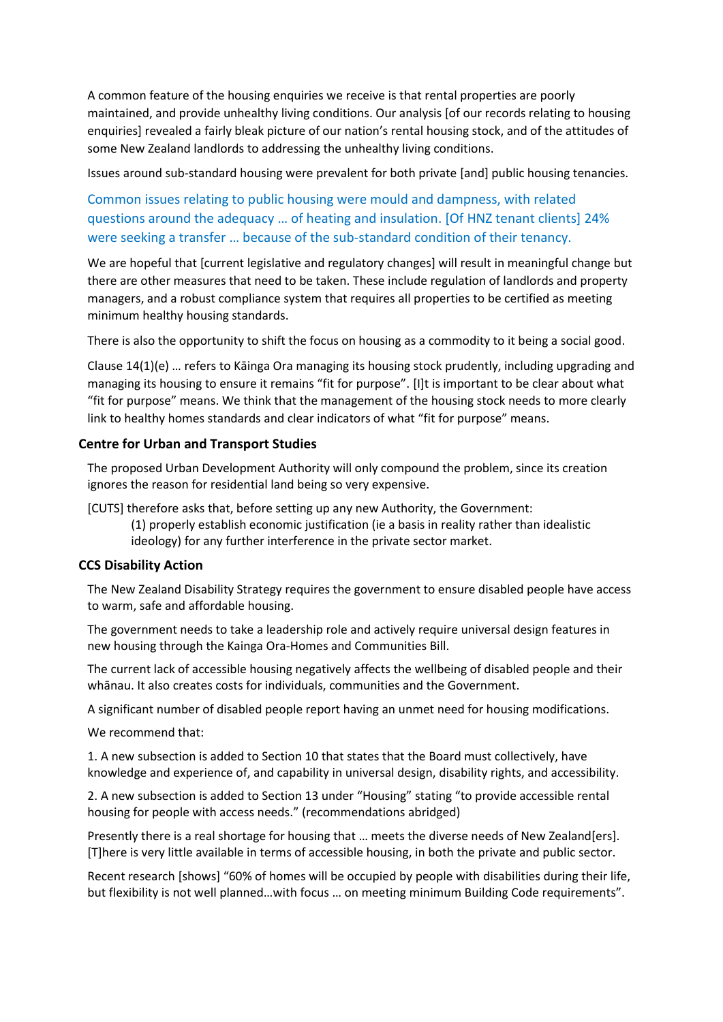A common feature of the housing enquiries we receive is that rental properties are poorly maintained, and provide unhealthy living conditions. Our analysis [of our records relating to housing enquiries] revealed a fairly bleak picture of our nation's rental housing stock, and of the attitudes of some New Zealand landlords to addressing the unhealthy living conditions.

Issues around sub-standard housing were prevalent for both private [and] public housing tenancies.

Common issues relating to public housing were mould and dampness, with related questions around the adequacy … of heating and insulation. [Of HNZ tenant clients] 24% were seeking a transfer … because of the sub-standard condition of their tenancy.

We are hopeful that [current legislative and regulatory changes] will result in meaningful change but there are other measures that need to be taken. These include regulation of landlords and property managers, and a robust compliance system that requires all properties to be certified as meeting minimum healthy housing standards.

There is also the opportunity to shift the focus on housing as a commodity to it being a social good.

Clause 14(1)(e) … refers to Kāinga Ora managing its housing stock prudently, including upgrading and managing its housing to ensure it remains "fit for purpose". [I]t is important to be clear about what "fit for purpose" means. We think that the management of the housing stock needs to more clearly link to healthy homes standards and clear indicators of what "fit for purpose" means.

#### **Centre for Urban and Transport Studies**

The proposed Urban Development Authority will only compound the problem, since its creation ignores the reason for residential land being so very expensive.

[CUTS] therefore asks that, before setting up any new Authority, the Government:

(1) properly establish economic justification (ie a basis in reality rather than idealistic ideology) for any further interference in the private sector market.

#### **CCS Disability Action**

The New Zealand Disability Strategy requires the government to ensure disabled people have access to warm, safe and affordable housing.

The government needs to take a leadership role and actively require universal design features in new housing through the Kainga Ora-Homes and Communities Bill.

The current lack of accessible housing negatively affects the wellbeing of disabled people and their whānau. It also creates costs for individuals, communities and the Government.

A significant number of disabled people report having an unmet need for housing modifications.

We recommend that:

1. A new subsection is added to Section 10 that states that the Board must collectively, have knowledge and experience of, and capability in universal design, disability rights, and accessibility.

2. A new subsection is added to Section 13 under "Housing" stating "to provide accessible rental housing for people with access needs." (recommendations abridged)

Presently there is a real shortage for housing that … meets the diverse needs of New Zealand[ers]. [T]here is very little available in terms of accessible housing, in both the private and public sector.

Recent research [shows] "60% of homes will be occupied by people with disabilities during their life, but flexibility is not well planned…with focus … on meeting minimum Building Code requirements".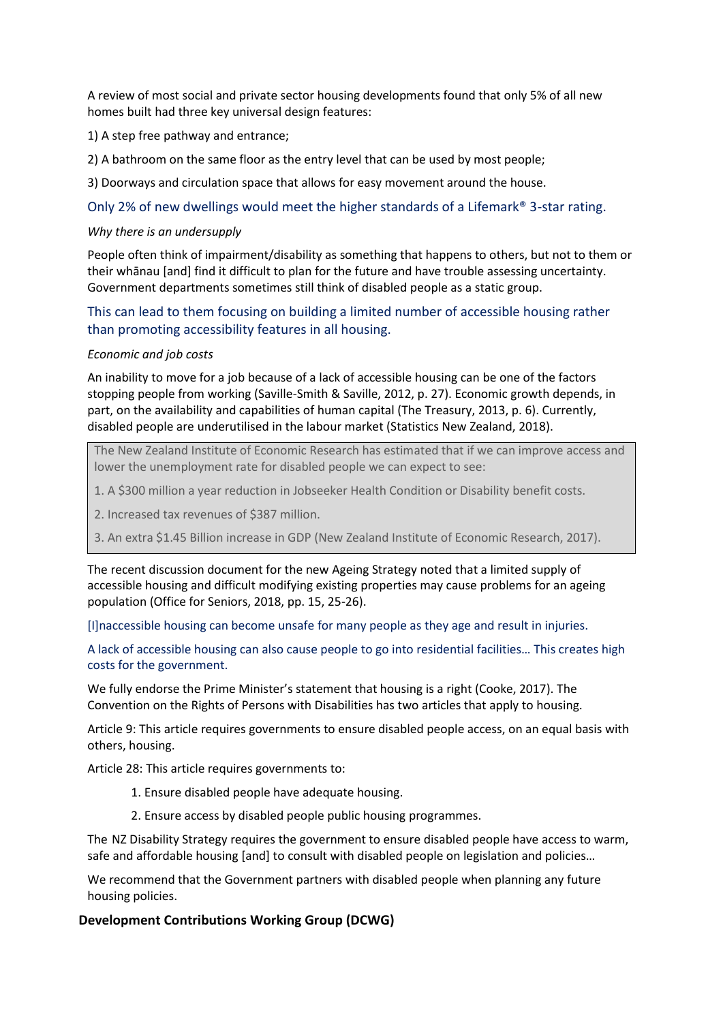A review of most social and private sector housing developments found that only 5% of all new homes built had three key universal design features:

1) A step free pathway and entrance;

2) A bathroom on the same floor as the entry level that can be used by most people;

3) Doorways and circulation space that allows for easy movement around the house.

Only 2% of new dwellings would meet the higher standards of a Lifemark® 3-star rating.

#### *Why there is an undersupply*

People often think of impairment/disability as something that happens to others, but not to them or their whānau [and] find it difficult to plan for the future and have trouble assessing uncertainty. Government departments sometimes still think of disabled people as a static group.

### This can lead to them focusing on building a limited number of accessible housing rather than promoting accessibility features in all housing.

#### *Economic and job costs*

An inability to move for a job because of a lack of accessible housing can be one of the factors stopping people from working (Saville-Smith & Saville, 2012, p. 27). Economic growth depends, in part, on the availability and capabilities of human capital (The Treasury, 2013, p. 6). Currently, disabled people are underutilised in the labour market (Statistics New Zealand, 2018).

The New Zealand Institute of Economic Research has estimated that if we can improve access and lower the unemployment rate for disabled people we can expect to see:

1. A \$300 million a year reduction in Jobseeker Health Condition or Disability benefit costs.

2. Increased tax revenues of \$387 million.

3. An extra \$1.45 Billion increase in GDP (New Zealand Institute of Economic Research, 2017).

The recent discussion document for the new Ageing Strategy noted that a limited supply of accessible housing and difficult modifying existing properties may cause problems for an ageing population (Office for Seniors, 2018, pp. 15, 25-26).

[I]naccessible housing can become unsafe for many people as they age and result in injuries.

A lack of accessible housing can also cause people to go into residential facilities… This creates high costs for the government.

We fully endorse the Prime Minister's statement that housing is a right (Cooke, 2017). The Convention on the Rights of Persons with Disabilities has two articles that apply to housing.

Article 9: This article requires governments to ensure disabled people access, on an equal basis with others, housing.

Article 28: This article requires governments to:

- 1. Ensure disabled people have adequate housing.
- 2. Ensure access by disabled people public housing programmes.

The NZ Disability Strategy requires the government to ensure disabled people have access to warm, safe and affordable housing [and] to consult with disabled people on legislation and policies…

We recommend that the Government partners with disabled people when planning any future housing policies.

#### **Development Contributions Working Group (DCWG)**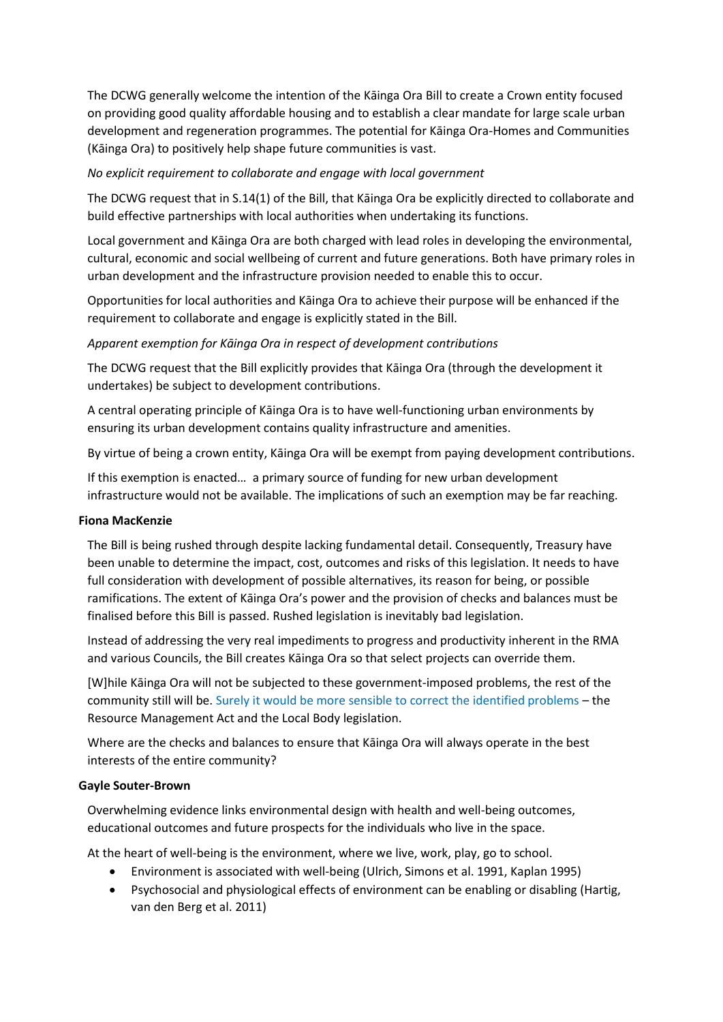The DCWG generally welcome the intention of the Kāinga Ora Bill to create a Crown entity focused on providing good quality affordable housing and to establish a clear mandate for large scale urban development and regeneration programmes. The potential for Kāinga Ora-Homes and Communities (Kāinga Ora) to positively help shape future communities is vast.

#### *No explicit requirement to collaborate and engage with local government*

The DCWG request that in S.14(1) of the Bill, that Kāinga Ora be explicitly directed to collaborate and build effective partnerships with local authorities when undertaking its functions.

Local government and Kāinga Ora are both charged with lead roles in developing the environmental, cultural, economic and social wellbeing of current and future generations. Both have primary roles in urban development and the infrastructure provision needed to enable this to occur.

Opportunities for local authorities and Kāinga Ora to achieve their purpose will be enhanced if the requirement to collaborate and engage is explicitly stated in the Bill.

#### *Apparent exemption for Kāinga Ora in respect of development contributions*

The DCWG request that the Bill explicitly provides that Kāinga Ora (through the development it undertakes) be subject to development contributions.

A central operating principle of Kāinga Ora is to have well-functioning urban environments by ensuring its urban development contains quality infrastructure and amenities.

By virtue of being a crown entity, Kāinga Ora will be exempt from paying development contributions.

If this exemption is enacted… a primary source of funding for new urban development infrastructure would not be available. The implications of such an exemption may be far reaching.

#### **Fiona MacKenzie**

The Bill is being rushed through despite lacking fundamental detail. Consequently, Treasury have been unable to determine the impact, cost, outcomes and risks of this legislation. It needs to have full consideration with development of possible alternatives, its reason for being, or possible ramifications. The extent of Kāinga Ora's power and the provision of checks and balances must be finalised before this Bill is passed. Rushed legislation is inevitably bad legislation.

Instead of addressing the very real impediments to progress and productivity inherent in the RMA and various Councils, the Bill creates Kāinga Ora so that select projects can override them.

[W]hile Kāinga Ora will not be subjected to these government-imposed problems, the rest of the community still will be. Surely it would be more sensible to correct the identified problems – the Resource Management Act and the Local Body legislation.

Where are the checks and balances to ensure that Kāinga Ora will always operate in the best interests of the entire community?

#### **Gayle Souter-Brown**

Overwhelming evidence links environmental design with health and well-being outcomes, educational outcomes and future prospects for the individuals who live in the space.

At the heart of well-being is the environment, where we live, work, play, go to school.

- Environment is associated with well-being (Ulrich, Simons et al. 1991, Kaplan 1995)
- Psychosocial and physiological effects of environment can be enabling or disabling (Hartig, van den Berg et al. 2011)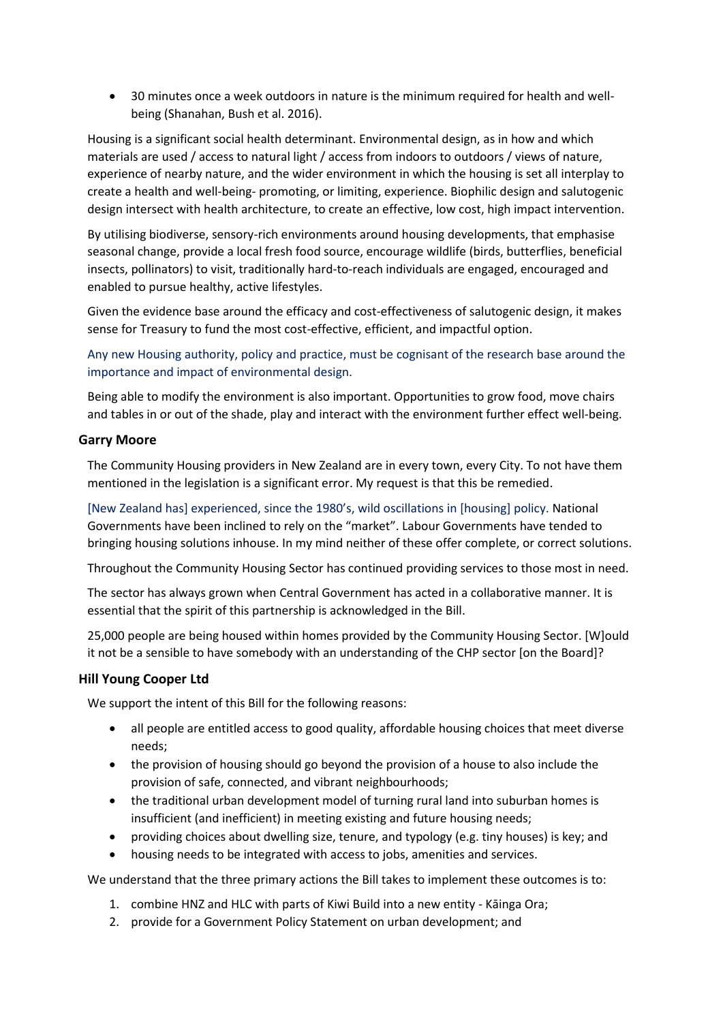• 30 minutes once a week outdoors in nature is the minimum required for health and wellbeing (Shanahan, Bush et al. 2016).

Housing is a significant social health determinant. Environmental design, as in how and which materials are used / access to natural light / access from indoors to outdoors / views of nature, experience of nearby nature, and the wider environment in which the housing is set all interplay to create a health and well-being- promoting, or limiting, experience. Biophilic design and salutogenic design intersect with health architecture, to create an effective, low cost, high impact intervention.

By utilising biodiverse, sensory-rich environments around housing developments, that emphasise seasonal change, provide a local fresh food source, encourage wildlife (birds, butterflies, beneficial insects, pollinators) to visit, traditionally hard-to-reach individuals are engaged, encouraged and enabled to pursue healthy, active lifestyles.

Given the evidence base around the efficacy and cost-effectiveness of salutogenic design, it makes sense for Treasury to fund the most cost-effective, efficient, and impactful option.

Any new Housing authority, policy and practice, must be cognisant of the research base around the importance and impact of environmental design.

Being able to modify the environment is also important. Opportunities to grow food, move chairs and tables in or out of the shade, play and interact with the environment further effect well-being.

#### **Garry Moore**

The Community Housing providers in New Zealand are in every town, every City. To not have them mentioned in the legislation is a significant error. My request is that this be remedied.

[New Zealand has] experienced, since the 1980's, wild oscillations in [housing] policy. National Governments have been inclined to rely on the "market". Labour Governments have tended to bringing housing solutions inhouse. In my mind neither of these offer complete, or correct solutions.

Throughout the Community Housing Sector has continued providing services to those most in need.

The sector has always grown when Central Government has acted in a collaborative manner. It is essential that the spirit of this partnership is acknowledged in the Bill.

25,000 people are being housed within homes provided by the Community Housing Sector. [W]ould it not be a sensible to have somebody with an understanding of the CHP sector [on the Board]?

#### **Hill Young Cooper Ltd**

We support the intent of this Bill for the following reasons:

- all people are entitled access to good quality, affordable housing choices that meet diverse needs;
- the provision of housing should go beyond the provision of a house to also include the provision of safe, connected, and vibrant neighbourhoods;
- the traditional urban development model of turning rural land into suburban homes is insufficient (and inefficient) in meeting existing and future housing needs;
- providing choices about dwelling size, tenure, and typology (e.g. tiny houses) is key; and
- housing needs to be integrated with access to jobs, amenities and services.

We understand that the three primary actions the Bill takes to implement these outcomes is to:

- 1. combine HNZ and HLC with parts of Kiwi Build into a new entity Kāinga Ora;
- 2. provide for a Government Policy Statement on urban development; and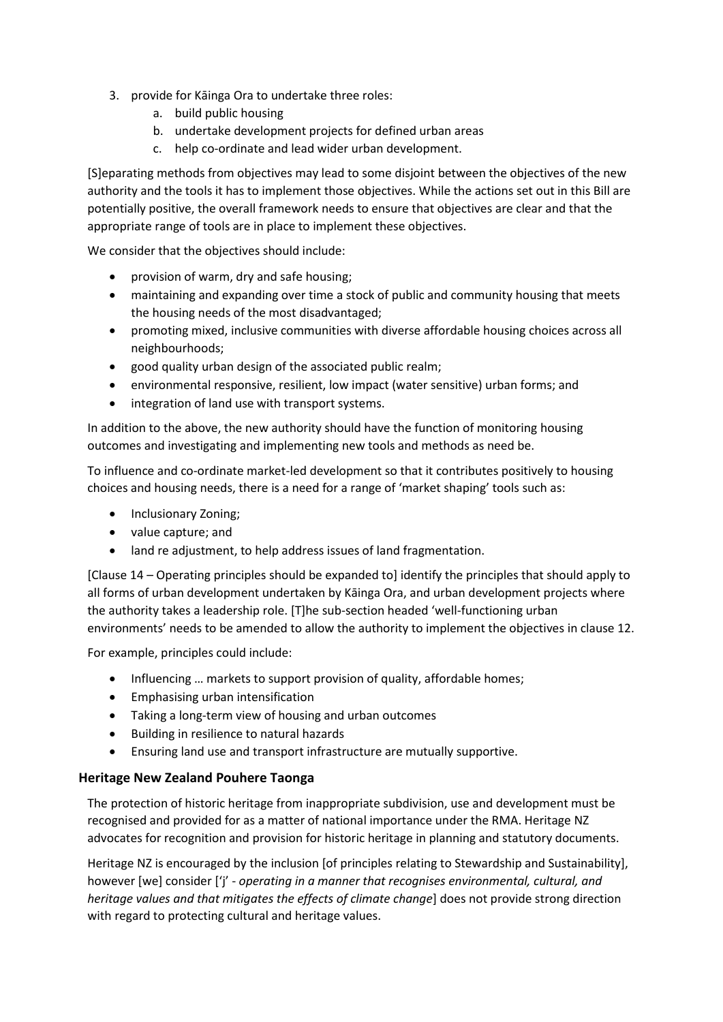- 3. provide for Kāinga Ora to undertake three roles:
	- a. build public housing
	- b. undertake development projects for defined urban areas
	- c. help co-ordinate and lead wider urban development.

[S]eparating methods from objectives may lead to some disjoint between the objectives of the new authority and the tools it has to implement those objectives. While the actions set out in this Bill are potentially positive, the overall framework needs to ensure that objectives are clear and that the appropriate range of tools are in place to implement these objectives.

We consider that the objectives should include:

- provision of warm, dry and safe housing;
- maintaining and expanding over time a stock of public and community housing that meets the housing needs of the most disadvantaged;
- promoting mixed, inclusive communities with diverse affordable housing choices across all neighbourhoods;
- good quality urban design of the associated public realm;
- environmental responsive, resilient, low impact (water sensitive) urban forms; and
- integration of land use with transport systems.

In addition to the above, the new authority should have the function of monitoring housing outcomes and investigating and implementing new tools and methods as need be.

To influence and co-ordinate market-led development so that it contributes positively to housing choices and housing needs, there is a need for a range of 'market shaping' tools such as:

- Inclusionary Zoning;
- value capture; and
- land re adjustment, to help address issues of land fragmentation.

[Clause 14 – Operating principles should be expanded to] identify the principles that should apply to all forms of urban development undertaken by Kāinga Ora, and urban development projects where the authority takes a leadership role. [T]he sub-section headed 'well-functioning urban environments' needs to be amended to allow the authority to implement the objectives in clause 12.

For example, principles could include:

- Influencing ... markets to support provision of quality, affordable homes;
- Emphasising urban intensification
- Taking a long-term view of housing and urban outcomes
- Building in resilience to natural hazards
- Ensuring land use and transport infrastructure are mutually supportive.

#### **Heritage New Zealand Pouhere Taonga**

The protection of historic heritage from inappropriate subdivision, use and development must be recognised and provided for as a matter of national importance under the RMA. Heritage NZ advocates for recognition and provision for historic heritage in planning and statutory documents.

Heritage NZ is encouraged by the inclusion [of principles relating to Stewardship and Sustainability], however [we] consider ['j' - *operating in a manner that recognises environmental, cultural, and heritage values and that mitigates the effects of climate change*] does not provide strong direction with regard to protecting cultural and heritage values.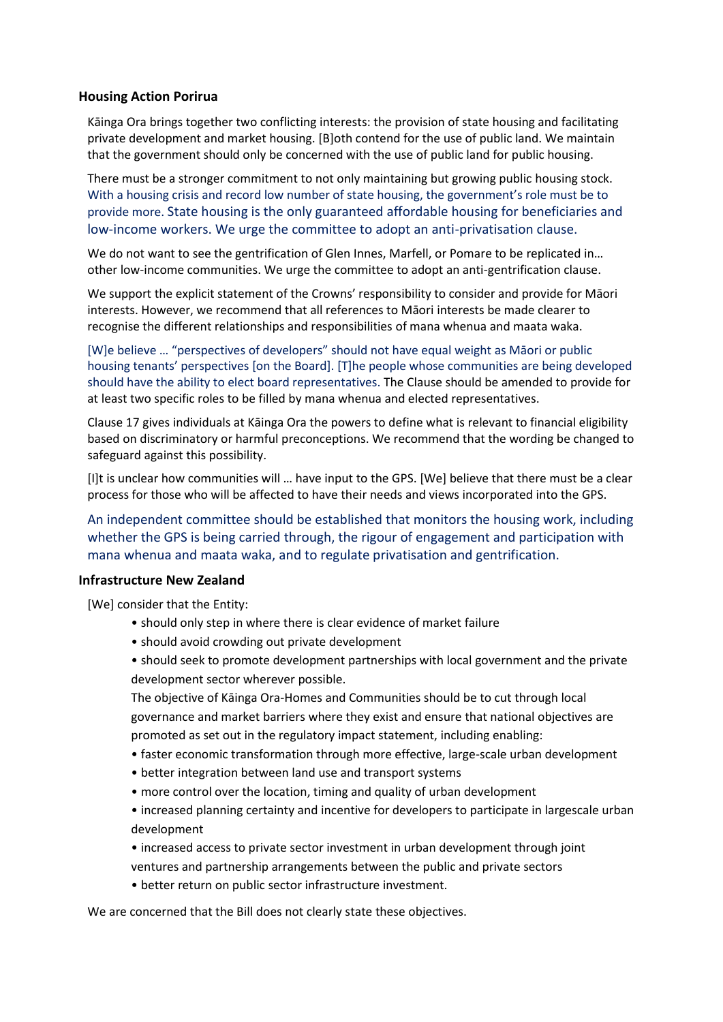#### **Housing Action Porirua**

Kāinga Ora brings together two conflicting interests: the provision of state housing and facilitating private development and market housing. [B]oth contend for the use of public land. We maintain that the government should only be concerned with the use of public land for public housing.

There must be a stronger commitment to not only maintaining but growing public housing stock. With a housing crisis and record low number of state housing, the government's role must be to provide more. State housing is the only guaranteed affordable housing for beneficiaries and low-income workers. We urge the committee to adopt an anti-privatisation clause.

We do not want to see the gentrification of Glen Innes, Marfell, or Pomare to be replicated in… other low-income communities. We urge the committee to adopt an anti-gentrification clause.

We support the explicit statement of the Crowns' responsibility to consider and provide for Māori interests. However, we recommend that all references to Māori interests be made clearer to recognise the different relationships and responsibilities of mana whenua and maata waka.

[W]e believe … "perspectives of developers" should not have equal weight as Māori or public housing tenants' perspectives [on the Board]. [T]he people whose communities are being developed should have the ability to elect board representatives. The Clause should be amended to provide for at least two specific roles to be filled by mana whenua and elected representatives.

Clause 17 gives individuals at Kāinga Ora the powers to define what is relevant to financial eligibility based on discriminatory or harmful preconceptions. We recommend that the wording be changed to safeguard against this possibility.

[I]t is unclear how communities will … have input to the GPS. [We] believe that there must be a clear process for those who will be affected to have their needs and views incorporated into the GPS.

An independent committee should be established that monitors the housing work, including whether the GPS is being carried through, the rigour of engagement and participation with mana whenua and maata waka, and to regulate privatisation and gentrification.

#### **Infrastructure New Zealand**

[We] consider that the Entity:

- should only step in where there is clear evidence of market failure
- should avoid crowding out private development
- should seek to promote development partnerships with local government and the private development sector wherever possible.

The objective of Kāinga Ora-Homes and Communities should be to cut through local governance and market barriers where they exist and ensure that national objectives are promoted as set out in the regulatory impact statement, including enabling:

- faster economic transformation through more effective, large-scale urban development
- better integration between land use and transport systems
- more control over the location, timing and quality of urban development
- increased planning certainty and incentive for developers to participate in largescale urban development
- increased access to private sector investment in urban development through joint ventures and partnership arrangements between the public and private sectors
- better return on public sector infrastructure investment.

We are concerned that the Bill does not clearly state these objectives.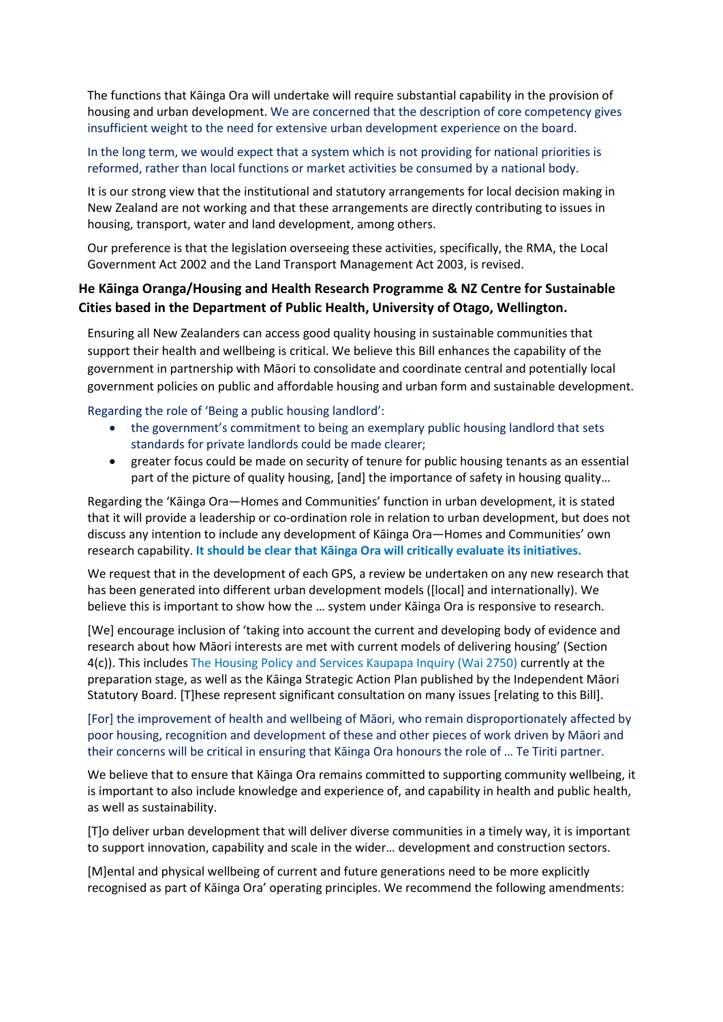The functions that Kāinga Ora will undertake will require substantial capability in the provision of housing and urban development. We are concerned that the description of core competency gives insufficient weight to the need for extensive urban development experience on the board.

In the long term, we would expect that a system which is not providing for national priorities is reformed, rather than local functions or market activities be consumed by a national body.

It is our strong view that the institutional and statutory arrangements for local decision making in New Zealand are not working and that these arrangements are directly contributing to issues in housing, transport, water and land development, among others.

Our preference is that the legislation overseeing these activities, specifically, the RMA, the Local Government Act 2002 and the Land Transport Management Act 2003, is revised.

## **He Kāinga Oranga/Housing and Health Research Programme & NZ Centre for Sustainable Cities based in the Department of Public Health, University of Otago, Wellington.**

Ensuring all New Zealanders can access good quality housing in sustainable communities that support their health and wellbeing is critical. We believe this Bill enhances the capability of the government in partnership with Māori to consolidate and coordinate central and potentially local government policies on public and affordable housing and urban form and sustainable development.

Regarding the role of 'Being a public housing landlord':

- the government's commitment to being an exemplary public housing landlord that sets standards for private landlords could be made clearer;
- greater focus could be made on security of tenure for public housing tenants as an essential part of the picture of quality housing, [and] the importance of safety in housing quality…

Regarding the 'Kāinga Ora—Homes and Communities' function in urban development, it is stated that it will provide a leadership or co-ordination role in relation to urban development, but does not discuss any intention to include any development of Kāinga Ora—Homes and Communities' own research capability. **It should be clear that Kāinga Ora will critically evaluate its initiatives.**

We request that in the development of each GPS, a review be undertaken on any new research that has been generated into different urban development models ([local] and internationally). We believe this is important to show how the … system under Kāinga Ora is responsive to research.

[We] encourage inclusion of 'taking into account the current and developing body of evidence and research about how Māori interests are met with current models of delivering housing' (Section 4(c)). This includes The Housing Policy and Services Kaupapa Inquiry (Wai 2750) currently at the preparation stage, as well as the Kāinga Strategic Action Plan published by the Independent Māori Statutory Board. [T]hese represent significant consultation on many issues [relating to this Bill].

[For] the improvement of health and wellbeing of Māori, who remain disproportionately affected by poor housing, recognition and development of these and other pieces of work driven by Māori and their concerns will be critical in ensuring that Kāinga Ora honours the role of … Te Tiriti partner.

We believe that to ensure that Kāinga Ora remains committed to supporting community wellbeing, it is important to also include knowledge and experience of, and capability in health and public health, as well as sustainability.

[T]o deliver urban development that will deliver diverse communities in a timely way, it is important to support innovation, capability and scale in the wider… development and construction sectors.

[M]ental and physical wellbeing of current and future generations need to be more explicitly recognised as part of Kāinga Ora' operating principles. We recommend the following amendments: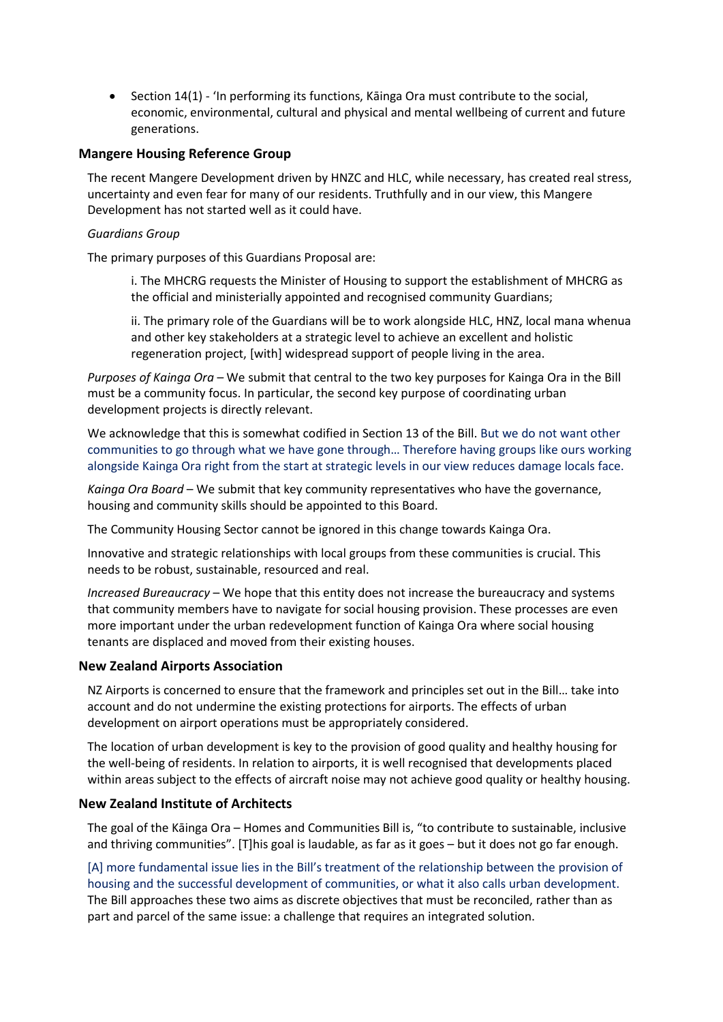• Section 14(1) - 'In performing its functions, Kāinga Ora must contribute to the social, economic, environmental, cultural and physical and mental wellbeing of current and future generations.

#### **Mangere Housing Reference Group**

The recent Mangere Development driven by HNZC and HLC, while necessary, has created real stress, uncertainty and even fear for many of our residents. Truthfully and in our view, this Mangere Development has not started well as it could have.

#### *Guardians Group*

The primary purposes of this Guardians Proposal are:

i. The MHCRG requests the Minister of Housing to support the establishment of MHCRG as the official and ministerially appointed and recognised community Guardians;

ii. The primary role of the Guardians will be to work alongside HLC, HNZ, local mana whenua and other key stakeholders at a strategic level to achieve an excellent and holistic regeneration project, [with] widespread support of people living in the area.

*Purposes of Kainga Ora* – We submit that central to the two key purposes for Kainga Ora in the Bill must be a community focus. In particular, the second key purpose of coordinating urban development projects is directly relevant.

We acknowledge that this is somewhat codified in Section 13 of the Bill. But we do not want other communities to go through what we have gone through… Therefore having groups like ours working alongside Kainga Ora right from the start at strategic levels in our view reduces damage locals face.

*Kainga Ora Board* – We submit that key community representatives who have the governance, housing and community skills should be appointed to this Board.

The Community Housing Sector cannot be ignored in this change towards Kainga Ora.

Innovative and strategic relationships with local groups from these communities is crucial. This needs to be robust, sustainable, resourced and real.

*Increased Bureaucracy* – We hope that this entity does not increase the bureaucracy and systems that community members have to navigate for social housing provision. These processes are even more important under the urban redevelopment function of Kainga Ora where social housing tenants are displaced and moved from their existing houses.

#### **New Zealand Airports Association**

NZ Airports is concerned to ensure that the framework and principles set out in the Bill… take into account and do not undermine the existing protections for airports. The effects of urban development on airport operations must be appropriately considered.

The location of urban development is key to the provision of good quality and healthy housing for the well-being of residents. In relation to airports, it is well recognised that developments placed within areas subject to the effects of aircraft noise may not achieve good quality or healthy housing.

#### **New Zealand Institute of Architects**

The goal of the Kāinga Ora – Homes and Communities Bill is, "to contribute to sustainable, inclusive and thriving communities". [T]his goal is laudable, as far as it goes – but it does not go far enough.

[A] more fundamental issue lies in the Bill's treatment of the relationship between the provision of housing and the successful development of communities, or what it also calls urban development. The Bill approaches these two aims as discrete objectives that must be reconciled, rather than as part and parcel of the same issue: a challenge that requires an integrated solution.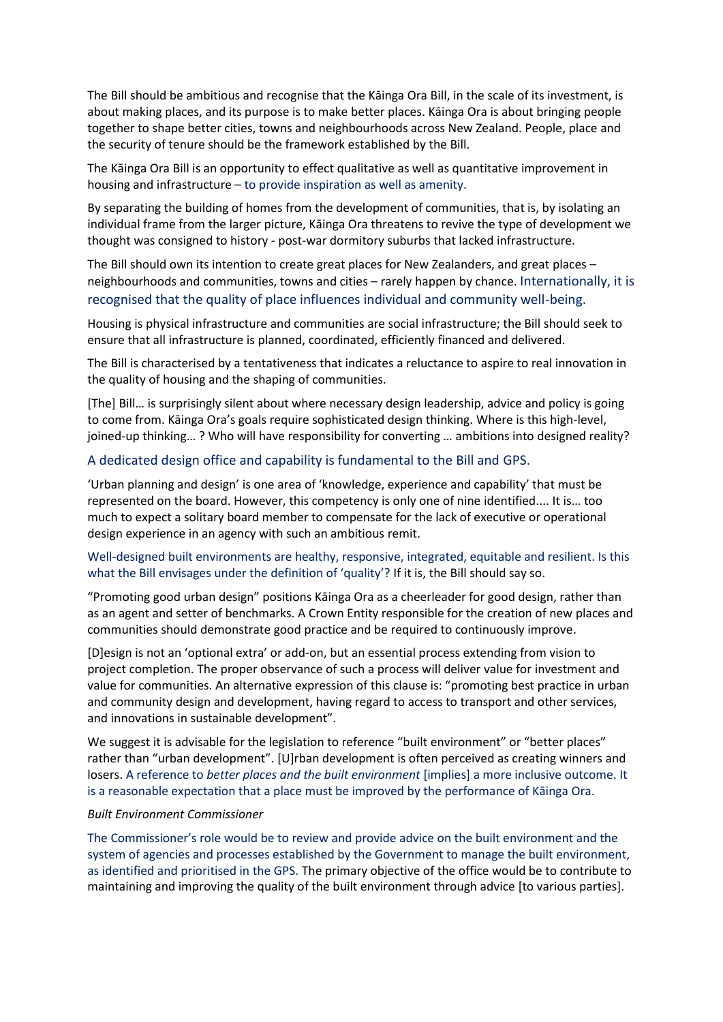The Bill should be ambitious and recognise that the Kāinga Ora Bill, in the scale of its investment, is about making places, and its purpose is to make better places. Kāinga Ora is about bringing people together to shape better cities, towns and neighbourhoods across New Zealand. People, place and the security of tenure should be the framework established by the Bill.

The Kāinga Ora Bill is an opportunity to effect qualitative as well as quantitative improvement in housing and infrastructure – to provide inspiration as well as amenity.

By separating the building of homes from the development of communities, that is, by isolating an individual frame from the larger picture, Kāinga Ora threatens to revive the type of development we thought was consigned to history - post-war dormitory suburbs that lacked infrastructure.

The Bill should own its intention to create great places for New Zealanders, and great places – neighbourhoods and communities, towns and cities – rarely happen by chance. Internationally, it is recognised that the quality of place influences individual and community well-being.

Housing is physical infrastructure and communities are social infrastructure; the Bill should seek to ensure that all infrastructure is planned, coordinated, efficiently financed and delivered.

The Bill is characterised by a tentativeness that indicates a reluctance to aspire to real innovation in the quality of housing and the shaping of communities.

[The] Bill… is surprisingly silent about where necessary design leadership, advice and policy is going to come from. Kāinga Ora's goals require sophisticated design thinking. Where is this high-level, joined-up thinking… ? Who will have responsibility for converting … ambitions into designed reality?

#### A dedicated design office and capability is fundamental to the Bill and GPS.

'Urban planning and design' is one area of 'knowledge, experience and capability' that must be represented on the board. However, this competency is only one of nine identified.... It is… too much to expect a solitary board member to compensate for the lack of executive or operational design experience in an agency with such an ambitious remit.

#### Well-designed built environments are healthy, responsive, integrated, equitable and resilient. Is this what the Bill envisages under the definition of 'quality'? If it is, the Bill should say so.

"Promoting good urban design" positions Kāinga Ora as a cheerleader for good design, rather than as an agent and setter of benchmarks. A Crown Entity responsible for the creation of new places and communities should demonstrate good practice and be required to continuously improve.

[D]esign is not an 'optional extra' or add-on, but an essential process extending from vision to project completion. The proper observance of such a process will deliver value for investment and value for communities. An alternative expression of this clause is: "promoting best practice in urban and community design and development, having regard to access to transport and other services, and innovations in sustainable development".

We suggest it is advisable for the legislation to reference "built environment" or "better places" rather than "urban development". [U]rban development is often perceived as creating winners and losers. A reference to *better places and the built environment* [implies] a more inclusive outcome. It is a reasonable expectation that a place must be improved by the performance of Kāinga Ora.

#### *Built Environment Commissioner*

The Commissioner's role would be to review and provide advice on the built environment and the system of agencies and processes established by the Government to manage the built environment, as identified and prioritised in the GPS. The primary objective of the office would be to contribute to maintaining and improving the quality of the built environment through advice [to various parties].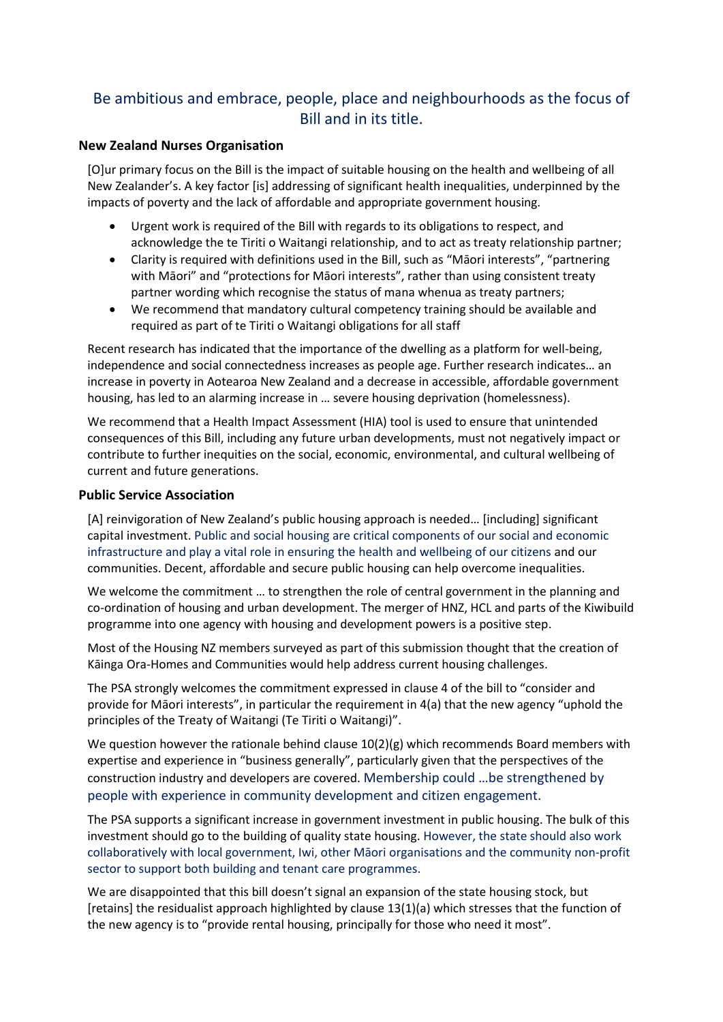# Be ambitious and embrace, people, place and neighbourhoods as the focus of Bill and in its title.

#### **New Zealand Nurses Organisation**

[O]ur primary focus on the Bill is the impact of suitable housing on the health and wellbeing of all New Zealander's. A key factor [is] addressing of significant health inequalities, underpinned by the impacts of poverty and the lack of affordable and appropriate government housing.

- Urgent work is required of the Bill with regards to its obligations to respect, and acknowledge the te Tiriti o Waitangi relationship, and to act as treaty relationship partner;
- Clarity is required with definitions used in the Bill, such as "Māori interests", "partnering with Māori" and "protections for Māori interests", rather than using consistent treaty partner wording which recognise the status of mana whenua as treaty partners;
- We recommend that mandatory cultural competency training should be available and required as part of te Tiriti o Waitangi obligations for all staff

Recent research has indicated that the importance of the dwelling as a platform for well-being, independence and social connectedness increases as people age. Further research indicates… an increase in poverty in Aotearoa New Zealand and a decrease in accessible, affordable government housing, has led to an alarming increase in … severe housing deprivation (homelessness).

We recommend that a Health Impact Assessment (HIA) tool is used to ensure that unintended consequences of this Bill, including any future urban developments, must not negatively impact or contribute to further inequities on the social, economic, environmental, and cultural wellbeing of current and future generations.

#### **Public Service Association**

[A] reinvigoration of New Zealand's public housing approach is needed… [including] significant capital investment. Public and social housing are critical components of our social and economic infrastructure and play a vital role in ensuring the health and wellbeing of our citizens and our communities. Decent, affordable and secure public housing can help overcome inequalities.

We welcome the commitment ... to strengthen the role of central government in the planning and co-ordination of housing and urban development. The merger of HNZ, HCL and parts of the Kiwibuild programme into one agency with housing and development powers is a positive step.

Most of the Housing NZ members surveyed as part of this submission thought that the creation of Kāinga Ora-Homes and Communities would help address current housing challenges.

The PSA strongly welcomes the commitment expressed in clause 4 of the bill to "consider and provide for Māori interests", in particular the requirement in 4(a) that the new agency "uphold the principles of the Treaty of Waitangi (Te Tiriti o Waitangi)".

We question however the rationale behind clause  $10(2)(g)$  which recommends Board members with expertise and experience in "business generally", particularly given that the perspectives of the construction industry and developers are covered. Membership could …be strengthened by people with experience in community development and citizen engagement.

The PSA supports a significant increase in government investment in public housing. The bulk of this investment should go to the building of quality state housing. However, the state should also work collaboratively with local government, Iwi, other Māori organisations and the community non-profit sector to support both building and tenant care programmes.

We are disappointed that this bill doesn't signal an expansion of the state housing stock, but [retains] the residualist approach highlighted by clause 13(1)(a) which stresses that the function of the new agency is to "provide rental housing, principally for those who need it most".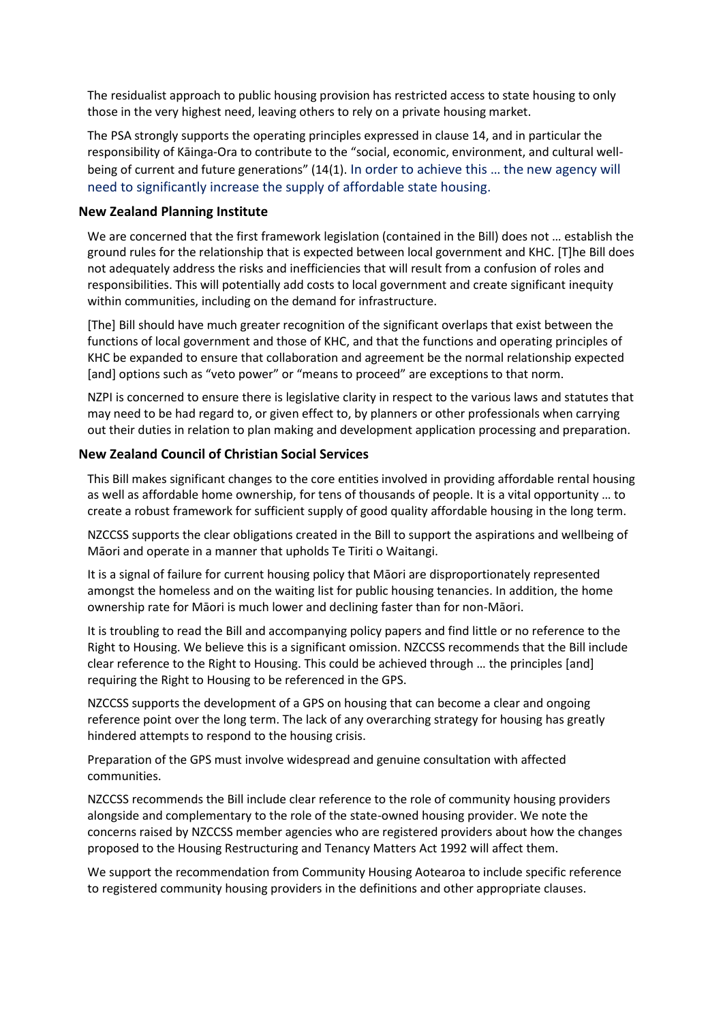The residualist approach to public housing provision has restricted access to state housing to only those in the very highest need, leaving others to rely on a private housing market.

The PSA strongly supports the operating principles expressed in clause 14, and in particular the responsibility of Kāinga-Ora to contribute to the "social, economic, environment, and cultural wellbeing of current and future generations" (14(1). In order to achieve this … the new agency will need to significantly increase the supply of affordable state housing.

#### **New Zealand Planning Institute**

We are concerned that the first framework legislation (contained in the Bill) does not … establish the ground rules for the relationship that is expected between local government and KHC. [T]he Bill does not adequately address the risks and inefficiencies that will result from a confusion of roles and responsibilities. This will potentially add costs to local government and create significant inequity within communities, including on the demand for infrastructure.

[The] Bill should have much greater recognition of the significant overlaps that exist between the functions of local government and those of KHC, and that the functions and operating principles of KHC be expanded to ensure that collaboration and agreement be the normal relationship expected [and] options such as "veto power" or "means to proceed" are exceptions to that norm.

NZPI is concerned to ensure there is legislative clarity in respect to the various laws and statutes that may need to be had regard to, or given effect to, by planners or other professionals when carrying out their duties in relation to plan making and development application processing and preparation.

#### **New Zealand Council of Christian Social Services**

This Bill makes significant changes to the core entities involved in providing affordable rental housing as well as affordable home ownership, for tens of thousands of people. It is a vital opportunity … to create a robust framework for sufficient supply of good quality affordable housing in the long term.

NZCCSS supports the clear obligations created in the Bill to support the aspirations and wellbeing of Māori and operate in a manner that upholds Te Tiriti o Waitangi.

It is a signal of failure for current housing policy that Māori are disproportionately represented amongst the homeless and on the waiting list for public housing tenancies. In addition, the home ownership rate for Māori is much lower and declining faster than for non-Māori.

It is troubling to read the Bill and accompanying policy papers and find little or no reference to the Right to Housing. We believe this is a significant omission. NZCCSS recommends that the Bill include clear reference to the Right to Housing. This could be achieved through … the principles [and] requiring the Right to Housing to be referenced in the GPS.

NZCCSS supports the development of a GPS on housing that can become a clear and ongoing reference point over the long term. The lack of any overarching strategy for housing has greatly hindered attempts to respond to the housing crisis.

Preparation of the GPS must involve widespread and genuine consultation with affected communities.

NZCCSS recommends the Bill include clear reference to the role of community housing providers alongside and complementary to the role of the state-owned housing provider. We note the concerns raised by NZCCSS member agencies who are registered providers about how the changes proposed to the Housing Restructuring and Tenancy Matters Act 1992 will affect them.

We support the recommendation from Community Housing Aotearoa to include specific reference to registered community housing providers in the definitions and other appropriate clauses.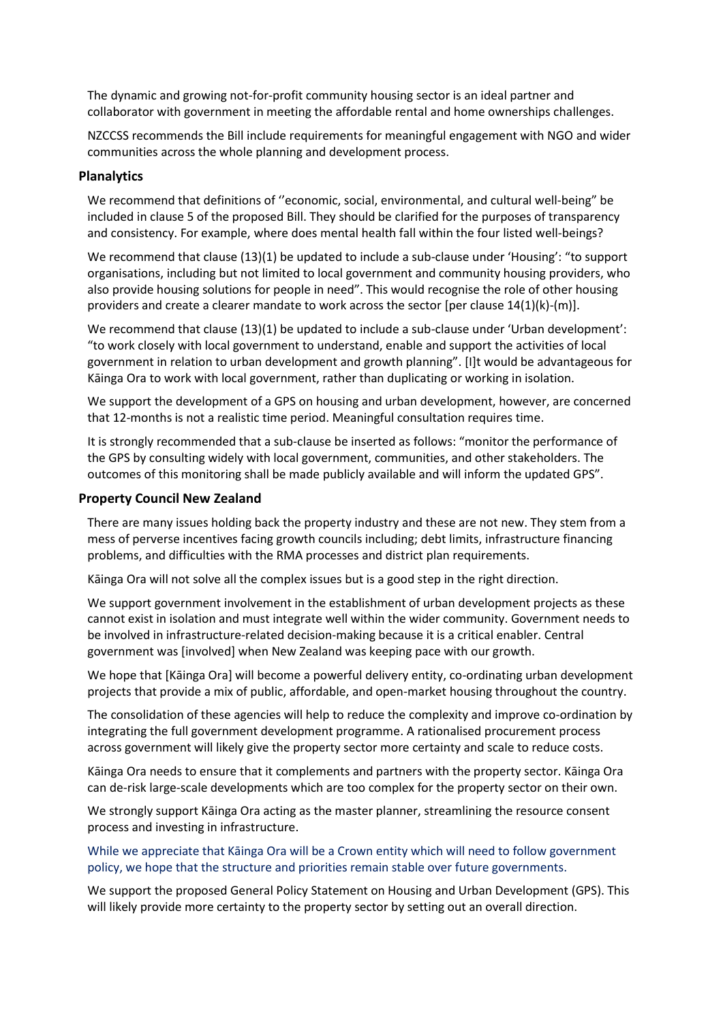The dynamic and growing not-for-profit community housing sector is an ideal partner and collaborator with government in meeting the affordable rental and home ownerships challenges.

NZCCSS recommends the Bill include requirements for meaningful engagement with NGO and wider communities across the whole planning and development process.

#### **Planalytics**

We recommend that definitions of ''economic, social, environmental, and cultural well-being" be included in clause 5 of the proposed Bill. They should be clarified for the purposes of transparency and consistency. For example, where does mental health fall within the four listed well-beings?

We recommend that clause (13)(1) be updated to include a sub-clause under 'Housing': "to support organisations, including but not limited to local government and community housing providers, who also provide housing solutions for people in need". This would recognise the role of other housing providers and create a clearer mandate to work across the sector [per clause 14(1)(k)-(m)].

We recommend that clause (13)(1) be updated to include a sub-clause under 'Urban development': "to work closely with local government to understand, enable and support the activities of local government in relation to urban development and growth planning". [I]t would be advantageous for Kāinga Ora to work with local government, rather than duplicating or working in isolation.

We support the development of a GPS on housing and urban development, however, are concerned that 12-months is not a realistic time period. Meaningful consultation requires time.

It is strongly recommended that a sub-clause be inserted as follows: "monitor the performance of the GPS by consulting widely with local government, communities, and other stakeholders. The outcomes of this monitoring shall be made publicly available and will inform the updated GPS".

#### **Property Council New Zealand**

There are many issues holding back the property industry and these are not new. They stem from a mess of perverse incentives facing growth councils including; debt limits, infrastructure financing problems, and difficulties with the RMA processes and district plan requirements.

Kāinga Ora will not solve all the complex issues but is a good step in the right direction.

We support government involvement in the establishment of urban development projects as these cannot exist in isolation and must integrate well within the wider community. Government needs to be involved in infrastructure-related decision-making because it is a critical enabler. Central government was [involved] when New Zealand was keeping pace with our growth.

We hope that [Kāinga Ora] will become a powerful delivery entity, co-ordinating urban development projects that provide a mix of public, affordable, and open-market housing throughout the country.

The consolidation of these agencies will help to reduce the complexity and improve co-ordination by integrating the full government development programme. A rationalised procurement process across government will likely give the property sector more certainty and scale to reduce costs.

Kāinga Ora needs to ensure that it complements and partners with the property sector. Kāinga Ora can de-risk large-scale developments which are too complex for the property sector on their own.

We strongly support Kāinga Ora acting as the master planner, streamlining the resource consent process and investing in infrastructure.

#### While we appreciate that Kāinga Ora will be a Crown entity which will need to follow government policy, we hope that the structure and priorities remain stable over future governments.

We support the proposed General Policy Statement on Housing and Urban Development (GPS). This will likely provide more certainty to the property sector by setting out an overall direction.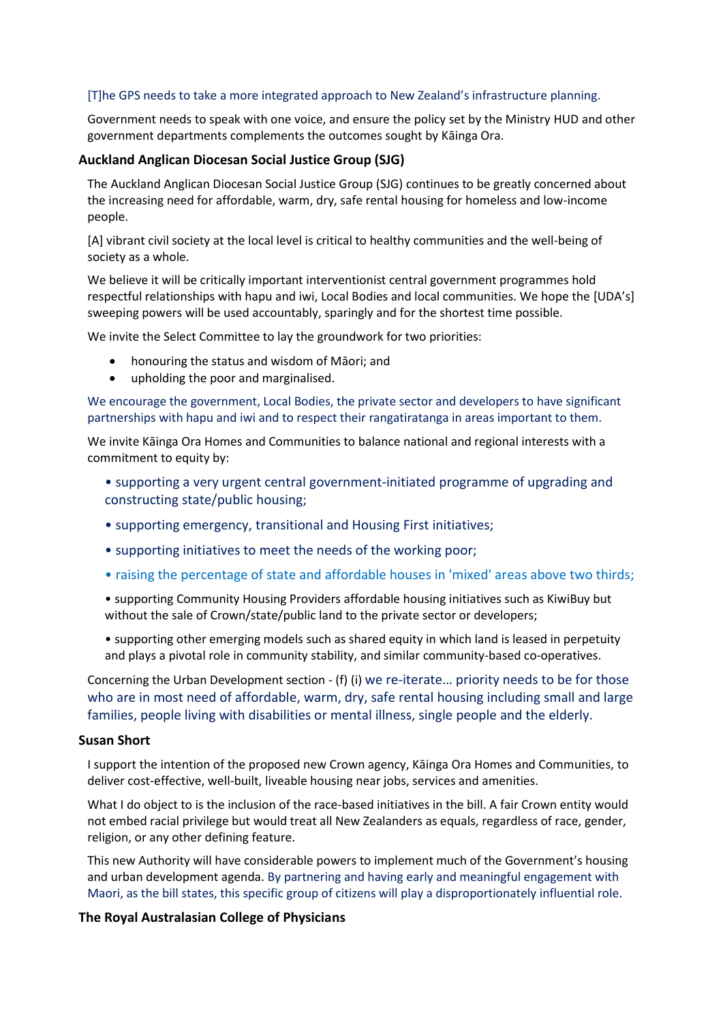#### [T]he GPS needs to take a more integrated approach to New Zealand's infrastructure planning.

Government needs to speak with one voice, and ensure the policy set by the Ministry HUD and other government departments complements the outcomes sought by Kāinga Ora.

#### **Auckland Anglican Diocesan Social Justice Group (SJG)**

The Auckland Anglican Diocesan Social Justice Group (SJG) continues to be greatly concerned about the increasing need for affordable, warm, dry, safe rental housing for homeless and low-income people.

[A] vibrant civil society at the local level is critical to healthy communities and the well-being of society as a whole.

We believe it will be critically important interventionist central government programmes hold respectful relationships with hapu and iwi, Local Bodies and local communities. We hope the [UDA's] sweeping powers will be used accountably, sparingly and for the shortest time possible.

We invite the Select Committee to lay the groundwork for two priorities:

- honouring the status and wisdom of Māori; and
- upholding the poor and marginalised.

We encourage the government, Local Bodies, the private sector and developers to have significant partnerships with hapu and iwi and to respect their rangatiratanga in areas important to them.

We invite Kāinga Ora Homes and Communities to balance national and regional interests with a commitment to equity by:

- supporting a very urgent central government-initiated programme of upgrading and constructing state/public housing;
- supporting emergency, transitional and Housing First initiatives;
- supporting initiatives to meet the needs of the working poor;
- raising the percentage of state and affordable houses in 'mixed' areas above two thirds;
- supporting Community Housing Providers affordable housing initiatives such as KiwiBuy but without the sale of Crown/state/public land to the private sector or developers;
- supporting other emerging models such as shared equity in which land is leased in perpetuity and plays a pivotal role in community stability, and similar community-based co-operatives.

Concerning the Urban Development section - (f) (i) we re-iterate… priority needs to be for those who are in most need of affordable, warm, dry, safe rental housing including small and large families, people living with disabilities or mental illness, single people and the elderly.

#### **Susan Short**

I support the intention of the proposed new Crown agency, Kāinga Ora Homes and Communities, to deliver cost-effective, well-built, liveable housing near jobs, services and amenities.

What I do object to is the inclusion of the race-based initiatives in the bill. A fair Crown entity would not embed racial privilege but would treat all New Zealanders as equals, regardless of race, gender, religion, or any other defining feature.

This new Authority will have considerable powers to implement much of the Government's housing and urban development agenda. By partnering and having early and meaningful engagement with Maori, as the bill states, this specific group of citizens will play a disproportionately influential role.

#### **The Royal Australasian College of Physicians**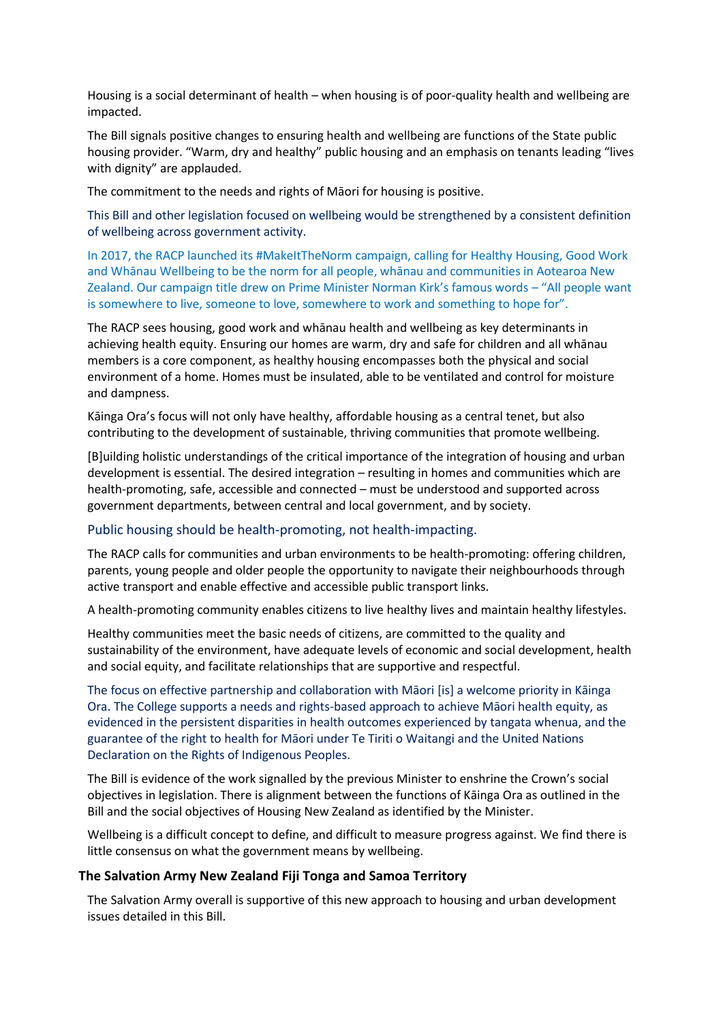Housing is a social determinant of health – when housing is of poor-quality health and wellbeing are impacted.

The Bill signals positive changes to ensuring health and wellbeing are functions of the State public housing provider. "Warm, dry and healthy" public housing and an emphasis on tenants leading "lives with dignity" are applauded.

The commitment to the needs and rights of Māori for housing is positive.

This Bill and other legislation focused on wellbeing would be strengthened by a consistent definition of wellbeing across government activity.

In 2017, the RACP launched its #MakeItTheNorm campaign, calling for Healthy Housing, Good Work and Whānau Wellbeing to be the norm for all people, whānau and communities in Aotearoa New Zealand. Our campaign title drew on Prime Minister Norman Kirk's famous words – "All people want is somewhere to live, someone to love, somewhere to work and something to hope for".

The RACP sees housing, good work and whānau health and wellbeing as key determinants in achieving health equity. Ensuring our homes are warm, dry and safe for children and all whānau members is a core component, as healthy housing encompasses both the physical and social environment of a home. Homes must be insulated, able to be ventilated and control for moisture and dampness.

Kāinga Ora's focus will not only have healthy, affordable housing as a central tenet, but also contributing to the development of sustainable, thriving communities that promote wellbeing.

[B]uilding holistic understandings of the critical importance of the integration of housing and urban development is essential. The desired integration – resulting in homes and communities which are health-promoting, safe, accessible and connected – must be understood and supported across government departments, between central and local government, and by society.

#### Public housing should be health-promoting, not health-impacting.

The RACP calls for communities and urban environments to be health-promoting: offering children, parents, young people and older people the opportunity to navigate their neighbourhoods through active transport and enable effective and accessible public transport links.

A health-promoting community enables citizens to live healthy lives and maintain healthy lifestyles.

Healthy communities meet the basic needs of citizens, are committed to the quality and sustainability of the environment, have adequate levels of economic and social development, health and social equity, and facilitate relationships that are supportive and respectful.

The focus on effective partnership and collaboration with Māori [is] a welcome priority in Kāinga Ora. The College supports a needs and rights-based approach to achieve Māori health equity, as evidenced in the persistent disparities in health outcomes experienced by tangata whenua, and the guarantee of the right to health for Māori under Te Tiriti o Waitangi and the United Nations Declaration on the Rights of Indigenous Peoples.

The Bill is evidence of the work signalled by the previous Minister to enshrine the Crown's social objectives in legislation. There is alignment between the functions of Kāinga Ora as outlined in the Bill and the social objectives of Housing New Zealand as identified by the Minister.

Wellbeing is a difficult concept to define, and difficult to measure progress against. We find there is little consensus on what the government means by wellbeing.

#### **The Salvation Army New Zealand Fiji Tonga and Samoa Territory**

The Salvation Army overall is supportive of this new approach to housing and urban development issues detailed in this Bill.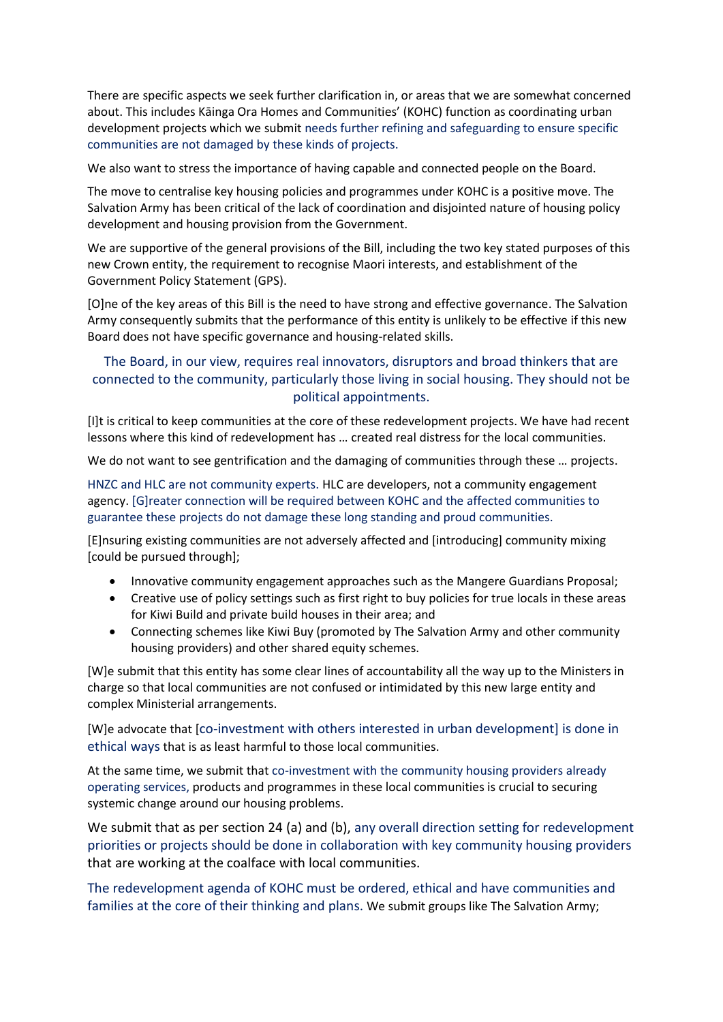There are specific aspects we seek further clarification in, or areas that we are somewhat concerned about. This includes Kāinga Ora Homes and Communities' (KOHC) function as coordinating urban development projects which we submit needs further refining and safeguarding to ensure specific communities are not damaged by these kinds of projects.

We also want to stress the importance of having capable and connected people on the Board.

The move to centralise key housing policies and programmes under KOHC is a positive move. The Salvation Army has been critical of the lack of coordination and disjointed nature of housing policy development and housing provision from the Government.

We are supportive of the general provisions of the Bill, including the two key stated purposes of this new Crown entity, the requirement to recognise Maori interests, and establishment of the Government Policy Statement (GPS).

[O]ne of the key areas of this Bill is the need to have strong and effective governance. The Salvation Army consequently submits that the performance of this entity is unlikely to be effective if this new Board does not have specific governance and housing-related skills.

# The Board, in our view, requires real innovators, disruptors and broad thinkers that are connected to the community, particularly those living in social housing. They should not be political appointments.

[I]t is critical to keep communities at the core of these redevelopment projects. We have had recent lessons where this kind of redevelopment has … created real distress for the local communities.

We do not want to see gentrification and the damaging of communities through these ... projects.

HNZC and HLC are not community experts. HLC are developers, not a community engagement agency. [G]reater connection will be required between KOHC and the affected communities to guarantee these projects do not damage these long standing and proud communities.

[E]nsuring existing communities are not adversely affected and [introducing] community mixing [could be pursued through];

- Innovative community engagement approaches such as the Mangere Guardians Proposal;
- Creative use of policy settings such as first right to buy policies for true locals in these areas for Kiwi Build and private build houses in their area; and
- Connecting schemes like Kiwi Buy (promoted by The Salvation Army and other community housing providers) and other shared equity schemes.

[W]e submit that this entity has some clear lines of accountability all the way up to the Ministers in charge so that local communities are not confused or intimidated by this new large entity and complex Ministerial arrangements.

[W]e advocate that [co-investment with others interested in urban development] is done in ethical ways that is as least harmful to those local communities.

At the same time, we submit that co-investment with the community housing providers already operating services, products and programmes in these local communities is crucial to securing systemic change around our housing problems.

We submit that as per section 24 (a) and (b), any overall direction setting for redevelopment priorities or projects should be done in collaboration with key community housing providers that are working at the coalface with local communities.

The redevelopment agenda of KOHC must be ordered, ethical and have communities and families at the core of their thinking and plans. We submit groups like The Salvation Army;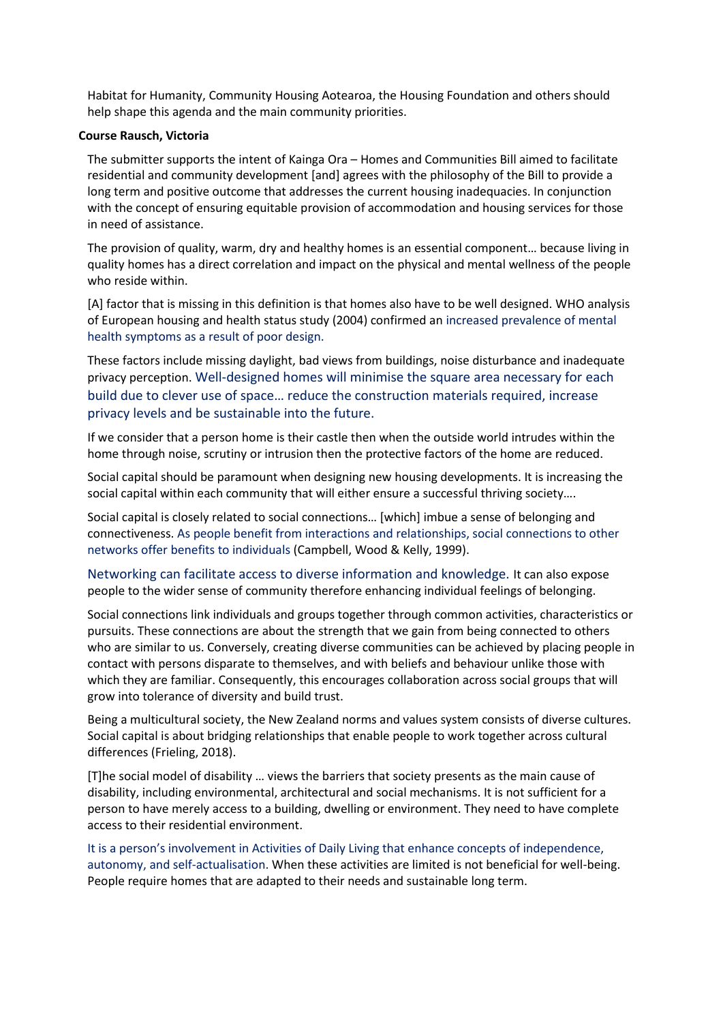Habitat for Humanity, Community Housing Aotearoa, the Housing Foundation and others should help shape this agenda and the main community priorities.

#### **Course Rausch, Victoria**

The submitter supports the intent of Kainga Ora – Homes and Communities Bill aimed to facilitate residential and community development [and] agrees with the philosophy of the Bill to provide a long term and positive outcome that addresses the current housing inadequacies. In conjunction with the concept of ensuring equitable provision of accommodation and housing services for those in need of assistance.

The provision of quality, warm, dry and healthy homes is an essential component… because living in quality homes has a direct correlation and impact on the physical and mental wellness of the people who reside within.

[A] factor that is missing in this definition is that homes also have to be well designed. WHO analysis of European housing and health status study (2004) confirmed an increased prevalence of mental health symptoms as a result of poor design.

These factors include missing daylight, bad views from buildings, noise disturbance and inadequate privacy perception. Well-designed homes will minimise the square area necessary for each build due to clever use of space… reduce the construction materials required, increase privacy levels and be sustainable into the future.

If we consider that a person home is their castle then when the outside world intrudes within the home through noise, scrutiny or intrusion then the protective factors of the home are reduced.

Social capital should be paramount when designing new housing developments. It is increasing the social capital within each community that will either ensure a successful thriving society….

Social capital is closely related to social connections… [which] imbue a sense of belonging and connectiveness. As people benefit from interactions and relationships, social connections to other networks offer benefits to individuals (Campbell, Wood & Kelly, 1999).

Networking can facilitate access to diverse information and knowledge. It can also expose people to the wider sense of community therefore enhancing individual feelings of belonging.

Social connections link individuals and groups together through common activities, characteristics or pursuits. These connections are about the strength that we gain from being connected to others who are similar to us. Conversely, creating diverse communities can be achieved by placing people in contact with persons disparate to themselves, and with beliefs and behaviour unlike those with which they are familiar. Consequently, this encourages collaboration across social groups that will grow into tolerance of diversity and build trust.

Being a multicultural society, the New Zealand norms and values system consists of diverse cultures. Social capital is about bridging relationships that enable people to work together across cultural differences (Frieling, 2018).

[T]he social model of disability … views the barriers that society presents as the main cause of disability, including environmental, architectural and social mechanisms. It is not sufficient for a person to have merely access to a building, dwelling or environment. They need to have complete access to their residential environment.

It is a person's involvement in Activities of Daily Living that enhance concepts of independence, autonomy, and self-actualisation. When these activities are limited is not beneficial for well-being. People require homes that are adapted to their needs and sustainable long term.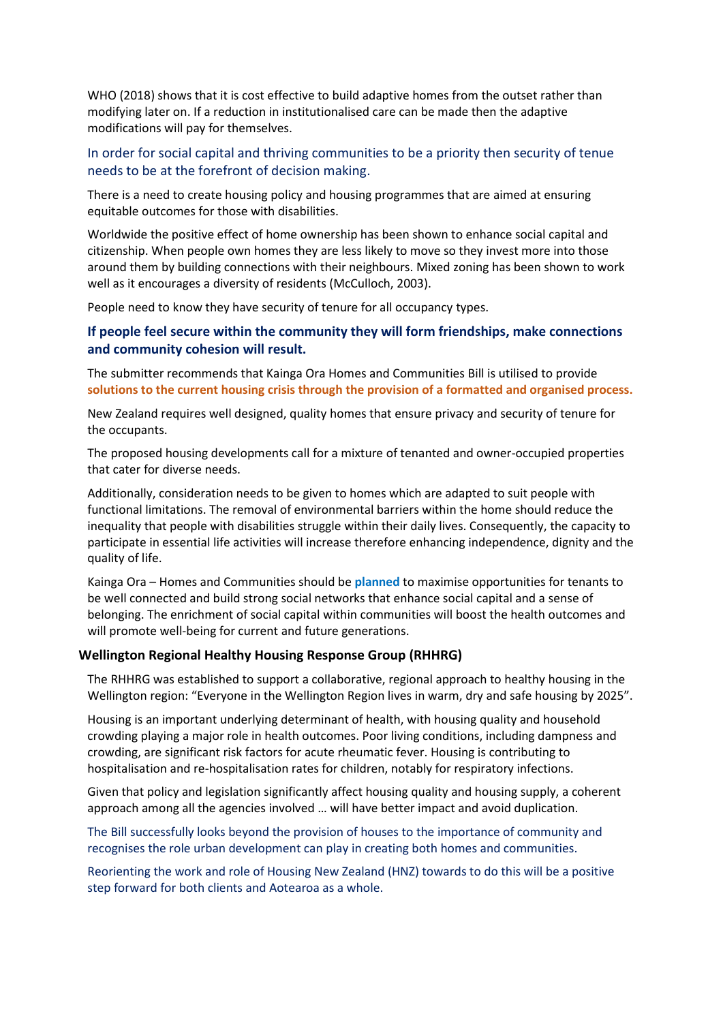WHO (2018) shows that it is cost effective to build adaptive homes from the outset rather than modifying later on. If a reduction in institutionalised care can be made then the adaptive modifications will pay for themselves.

### In order for social capital and thriving communities to be a priority then security of tenue needs to be at the forefront of decision making.

There is a need to create housing policy and housing programmes that are aimed at ensuring equitable outcomes for those with disabilities.

Worldwide the positive effect of home ownership has been shown to enhance social capital and citizenship. When people own homes they are less likely to move so they invest more into those around them by building connections with their neighbours. Mixed zoning has been shown to work well as it encourages a diversity of residents (McCulloch, 2003).

People need to know they have security of tenure for all occupancy types.

#### **If people feel secure within the community they will form friendships, make connections and community cohesion will result.**

The submitter recommends that Kainga Ora Homes and Communities Bill is utilised to provide **solutions to the current housing crisis through the provision of a formatted and organised process.**

New Zealand requires well designed, quality homes that ensure privacy and security of tenure for the occupants.

The proposed housing developments call for a mixture of tenanted and owner-occupied properties that cater for diverse needs.

Additionally, consideration needs to be given to homes which are adapted to suit people with functional limitations. The removal of environmental barriers within the home should reduce the inequality that people with disabilities struggle within their daily lives. Consequently, the capacity to participate in essential life activities will increase therefore enhancing independence, dignity and the quality of life.

Kainga Ora – Homes and Communities should be **planned** to maximise opportunities for tenants to be well connected and build strong social networks that enhance social capital and a sense of belonging. The enrichment of social capital within communities will boost the health outcomes and will promote well-being for current and future generations.

#### **Wellington Regional Healthy Housing Response Group (RHHRG)**

The RHHRG was established to support a collaborative, regional approach to healthy housing in the Wellington region: "Everyone in the Wellington Region lives in warm, dry and safe housing by 2025".

Housing is an important underlying determinant of health, with housing quality and household crowding playing a major role in health outcomes. Poor living conditions, including dampness and crowding, are significant risk factors for acute rheumatic fever. Housing is contributing to hospitalisation and re-hospitalisation rates for children, notably for respiratory infections.

Given that policy and legislation significantly affect housing quality and housing supply, a coherent approach among all the agencies involved … will have better impact and avoid duplication.

The Bill successfully looks beyond the provision of houses to the importance of community and recognises the role urban development can play in creating both homes and communities.

Reorienting the work and role of Housing New Zealand (HNZ) towards to do this will be a positive step forward for both clients and Aotearoa as a whole.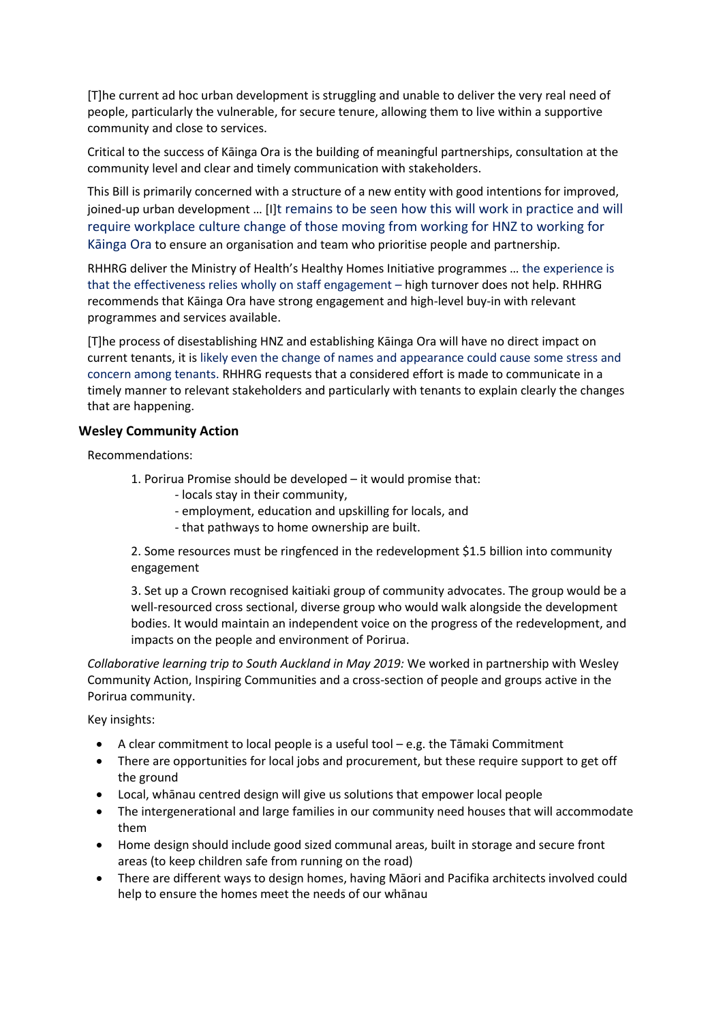[T]he current ad hoc urban development is struggling and unable to deliver the very real need of people, particularly the vulnerable, for secure tenure, allowing them to live within a supportive community and close to services.

Critical to the success of Kāinga Ora is the building of meaningful partnerships, consultation at the community level and clear and timely communication with stakeholders.

This Bill is primarily concerned with a structure of a new entity with good intentions for improved, joined-up urban development … [I]t remains to be seen how this will work in practice and will require workplace culture change of those moving from working for HNZ to working for Kāinga Ora to ensure an organisation and team who prioritise people and partnership.

RHHRG deliver the Ministry of Health's Healthy Homes Initiative programmes … the experience is that the effectiveness relies wholly on staff engagement – high turnover does not help. RHHRG recommends that Kāinga Ora have strong engagement and high-level buy-in with relevant programmes and services available.

[T]he process of disestablishing HNZ and establishing Kāinga Ora will have no direct impact on current tenants, it is likely even the change of names and appearance could cause some stress and concern among tenants. RHHRG requests that a considered effort is made to communicate in a timely manner to relevant stakeholders and particularly with tenants to explain clearly the changes that are happening.

#### **Wesley Community Action**

Recommendations:

- 1. Porirua Promise should be developed it would promise that:
	- locals stay in their community,
	- employment, education and upskilling for locals, and
	- that pathways to home ownership are built.

2. Some resources must be ringfenced in the redevelopment \$1.5 billion into community engagement

3. Set up a Crown recognised kaitiaki group of community advocates. The group would be a well-resourced cross sectional, diverse group who would walk alongside the development bodies. It would maintain an independent voice on the progress of the redevelopment, and impacts on the people and environment of Porirua.

*Collaborative learning trip to South Auckland in May 2019:* We worked in partnership with Wesley Community Action, Inspiring Communities and a cross-section of people and groups active in the Porirua community.

Key insights:

- A clear commitment to local people is a useful tool e.g. the Tāmaki Commitment
- There are opportunities for local jobs and procurement, but these require support to get off the ground
- Local, whānau centred design will give us solutions that empower local people
- The intergenerational and large families in our community need houses that will accommodate them
- Home design should include good sized communal areas, built in storage and secure front areas (to keep children safe from running on the road)
- There are different ways to design homes, having Māori and Pacifika architects involved could help to ensure the homes meet the needs of our whānau